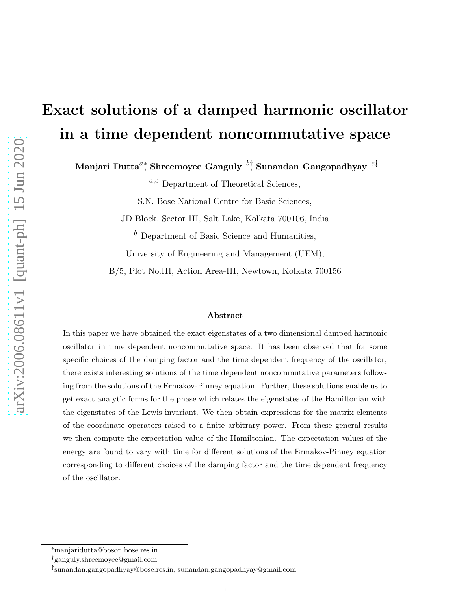# Exact solutions of a damped harmonic oscillator in a time dependent noncommutative space

Manjari Dutta ${}^{a_\ast}$ Shreemoyee Ganguly  ${}^{b_\ast^\dag}$  Sunandan Gangopadhyay  ${}^{c\ddagger}$ 

 $a,c$  Department of Theoretical Sciences,

S.N. Bose National Centre for Basic Sciences,

JD Block, Sector III, Salt Lake, Kolkata 700106, India

 $<sup>b</sup>$  Department of Basic Science and Humanities,</sup>

University of Engineering and Management (UEM),

B/5, Plot No.III, Action Area-III, Newtown, Kolkata 700156

#### Abstract

In this paper we have obtained the exact eigenstates of a two dimensional damped harmonic oscillator in time dependent noncommutative space. It has been observed that for some specific choices of the damping factor and the time dependent frequency of the oscillator, there exists interesting solutions of the time dependent noncommutative parameters following from the solutions of the Ermakov-Pinney equation. Further, these solutions enable us to get exact analytic forms for the phase which relates the eigenstates of the Hamiltonian with the eigenstates of the Lewis invariant. We then obtain expressions for the matrix elements of the coordinate operators raised to a finite arbitrary power. From these general results we then compute the expectation value of the Hamiltonian. The expectation values of the energy are found to vary with time for different solutions of the Ermakov-Pinney equation corresponding to different choices of the damping factor and the time dependent frequency of the oscillator.

1

<sup>∗</sup>manjaridutta@boson.bose.res.in

<sup>†</sup>ganguly.shreemoyee@gmail.com

<sup>‡</sup> sunandan.gangopadhyay@bose.res.in, sunandan.gangopadhyay@gmail.com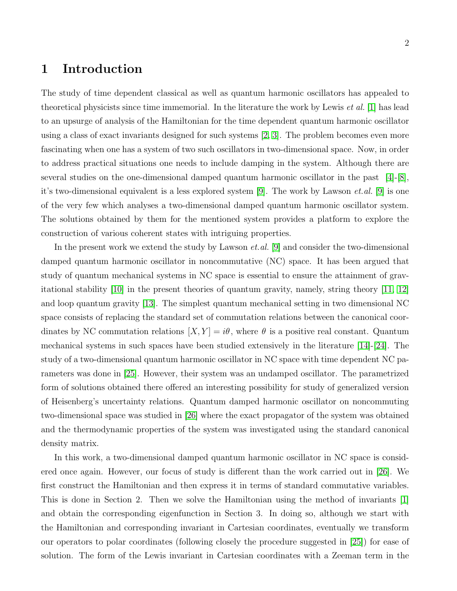## 1 Introduction

The study of time dependent classical as well as quantum harmonic oscillators has appealed to theoretical physicists since time immemorial. In the literature the work by Lewis et al. [\[1\]](#page-25-0) has lead to an upsurge of analysis of the Hamiltonian for the time dependent quantum harmonic oscillator using a class of exact invariants designed for such systems [\[2,](#page-25-1) [3\]](#page-25-2). The problem becomes even more fascinating when one has a system of two such oscillators in two-dimensional space. Now, in order to address practical situations one needs to include damping in the system. Although there are several studies on the one-dimensional damped quantum harmonic oscillator in the past [\[4\]](#page-25-3)-[\[8\]](#page-26-0), it's two-dimensional equivalent is a less explored system [\[9\]](#page-26-1). The work by Lawson *et.al.* [\[9\]](#page-26-1) is one of the very few which analyses a two-dimensional damped quantum harmonic oscillator system. The solutions obtained by them for the mentioned system provides a platform to explore the construction of various coherent states with intriguing properties.

In the present work we extend the study by Lawson *et.al.* [\[9\]](#page-26-1) and consider the two-dimensional damped quantum harmonic oscillator in noncommutative (NC) space. It has been argued that study of quantum mechanical systems in NC space is essential to ensure the attainment of grav-itational stability [\[10\]](#page-26-2) in the present theories of quantum gravity, namely, string theory  $|11, 12|$ and loop quantum gravity [\[13\]](#page-26-5). The simplest quantum mechanical setting in two dimensional NC space consists of replacing the standard set of commutation relations between the canonical coordinates by NC commutation relations  $[X, Y] = i\theta$ , where  $\theta$  is a positive real constant. Quantum mechanical systems in such spaces have been studied extensively in the literature [\[14\]](#page-26-6)-[\[24\]](#page-26-7). The study of a two-dimensional quantum harmonic oscillator in NC space with time dependent NC parameters was done in [\[25\]](#page-26-8). However, their system was an undamped oscillator. The parametrized form of solutions obtained there offered an interesting possibility for study of generalized version of Heisenberg's uncertainty relations. Quantum damped harmonic oscillator on noncommuting two-dimensional space was studied in [\[26\]](#page-26-9) where the exact propagator of the system was obtained and the thermodynamic properties of the system was investigated using the standard canonical density matrix.

In this work, a two-dimensional damped quantum harmonic oscillator in NC space is considered once again. However, our focus of study is different than the work carried out in [\[26\]](#page-26-9). We first construct the Hamiltonian and then express it in terms of standard commutative variables. This is done in Section 2. Then we solve the Hamiltonian using the method of invariants [\[1\]](#page-25-0) and obtain the corresponding eigenfunction in Section 3. In doing so, although we start with the Hamiltonian and corresponding invariant in Cartesian coordinates, eventually we transform our operators to polar coordinates (following closely the procedure suggested in [\[25\]](#page-26-8)) for ease of solution. The form of the Lewis invariant in Cartesian coordinates with a Zeeman term in the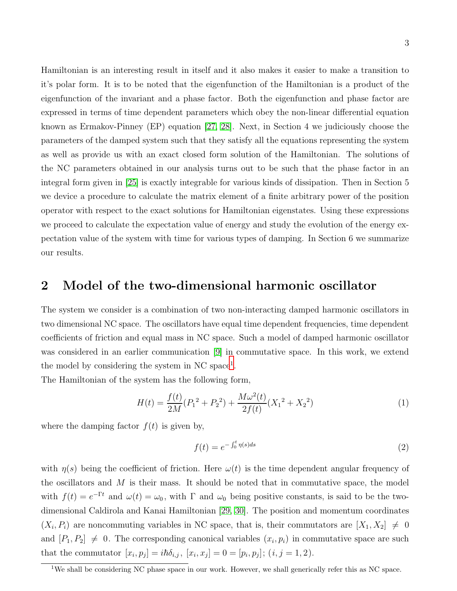Hamiltonian is an interesting result in itself and it also makes it easier to make a transition to it's polar form. It is to be noted that the eigenfunction of the Hamiltonian is a product of the eigenfunction of the invariant and a phase factor. Both the eigenfunction and phase factor are expressed in terms of time dependent parameters which obey the non-linear differential equation known as Ermakov-Pinney (EP) equation [\[27,](#page-26-10) [28\]](#page-26-11). Next, in Section 4 we judiciously choose the parameters of the damped system such that they satisfy all the equations representing the system as well as provide us with an exact closed form solution of the Hamiltonian. The solutions of the NC parameters obtained in our analysis turns out to be such that the phase factor in an integral form given in [\[25\]](#page-26-8) is exactly integrable for various kinds of dissipation. Then in Section 5 we device a procedure to calculate the matrix element of a finite arbitrary power of the position operator with respect to the exact solutions for Hamiltonian eigenstates. Using these expressions we proceed to calculate the expectation value of energy and study the evolution of the energy expectation value of the system with time for various types of damping. In Section 6 we summarize our results.

## 2 Model of the two-dimensional harmonic oscillator

The system we consider is a combination of two non-interacting damped harmonic oscillators in two dimensional NC space. The oscillators have equal time dependent frequencies, time dependent coefficients of friction and equal mass in NC space. Such a model of damped harmonic oscillator was considered in an earlier communication [\[9\]](#page-26-1) in commutative space. In this work, we extend the model by considering the system in NC space<sup>[1](#page-2-0)</sup>.

The Hamiltonian of the system has the following form,

$$
H(t) = \frac{f(t)}{2M}(P_1^2 + P_2^2) + \frac{M\omega^2(t)}{2f(t)}(X_1^2 + X_2^2)
$$
 (1)

where the damping factor  $f(t)$  is given by,

$$
f(t) = e^{-\int_0^t \eta(s)ds} \tag{2}
$$

with  $\eta(s)$  being the coefficient of friction. Here  $\omega(t)$  is the time dependent angular frequency of the oscillators and  $M$  is their mass. It should be noted that in commutative space, the model with  $f(t) = e^{-\Gamma t}$  and  $\omega(t) = \omega_0$ , with  $\Gamma$  and  $\omega_0$  being positive constants, is said to be the twodimensional Caldirola and Kanai Hamiltonian [\[29,](#page-26-12) [30\]](#page-27-0). The position and momentum coordinates  $(X_i, P_i)$  are noncommuting variables in NC space, that is, their commutators are  $[X_1, X_2] \neq 0$ and  $[P_1, P_2] \neq 0$ . The corresponding canonical variables  $(x_i, p_i)$  in commutative space are such that the commutator  $[x_i, p_j] = i\hbar \delta_{i,j}, [x_i, x_j] = 0 = [p_i, p_j]; (i, j = 1, 2).$ 

<span id="page-2-0"></span><sup>&</sup>lt;sup>1</sup>We shall be considering NC phase space in our work. However, we shall generically refer this as NC space.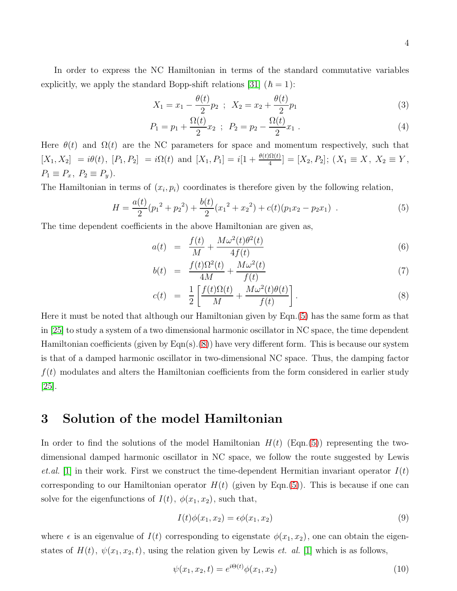In order to express the NC Hamiltonian in terms of the standard commutative variables explicitly, we apply the standard Bopp-shift relations [\[31\]](#page-27-1) ( $\hbar = 1$ ):

$$
X_1 = x_1 - \frac{\theta(t)}{2} p_2 \, ; \, X_2 = x_2 + \frac{\theta(t)}{2} p_1 \tag{3}
$$

$$
P_1 = p_1 + \frac{\Omega(t)}{2} x_2 \; ; \; P_2 = p_2 - \frac{\Omega(t)}{2} x_1 \; . \tag{4}
$$

Here  $\theta(t)$  and  $\Omega(t)$  are the NC parameters for space and momentum respectively, such that  $[X_1, X_2] = i\theta(t), [P_1, P_2] = i\Omega(t)$  and  $[X_1, P_1] = i[1 + \frac{\theta(t)\Omega(t)}{4}] = [X_2, P_2]$ ;  $(X_1 \equiv X, X_2 \equiv Y,$  $P_1 \equiv P_x, P_2 \equiv P_y$ ).

The Hamiltonian in terms of  $(x_i, p_i)$  coordinates is therefore given by the following relation,

<span id="page-3-0"></span>
$$
H = \frac{a(t)}{2}(p_1^2 + p_2^2) + \frac{b(t)}{2}(x_1^2 + x_2^2) + c(t)(p_1x_2 - p_2x_1) \tag{5}
$$

The time dependent coefficients in the above Hamiltonian are given as,

<span id="page-3-1"></span>
$$
a(t) = \frac{f(t)}{M} + \frac{M\omega^2(t)\theta^2(t)}{4f(t)}
$$
\n
$$
(6)
$$

$$
b(t) = \frac{f(t)\Omega^2(t)}{4M} + \frac{M\omega^2(t)}{f(t)}
$$
\n
$$
\tag{7}
$$

$$
c(t) = \frac{1}{2} \left[ \frac{f(t)\Omega(t)}{M} + \frac{M\omega^2(t)\theta(t)}{f(t)} \right].
$$
 (8)

Here it must be noted that although our Hamiltonian given by Eqn.[\(5\)](#page-3-0) has the same form as that in [\[25\]](#page-26-8) to study a system of a two dimensional harmonic oscillator in NC space, the time dependent Hamiltonian coefficients (given by Eqn(s).[\(8\)](#page-3-1)) have very different form. This is because our system is that of a damped harmonic oscillator in two-dimensional NC space. Thus, the damping factor  $f(t)$  modulates and alters the Hamiltonian coefficients from the form considered in earlier study [\[25\]](#page-26-8).

### 3 Solution of the model Hamiltonian

In order to find the solutions of the model Hamiltonian  $H(t)$  (Eqn.[\(5\)](#page-3-0)) representing the twodimensional damped harmonic oscillator in NC space, we follow the route suggested by Lewis *et.al.* [\[1\]](#page-25-0) in their work. First we construct the time-dependent Hermitian invariant operator  $I(t)$ corresponding to our Hamiltonian operator  $H(t)$  (given by Eqn.[\(5\)](#page-3-0)). This is because if one can solve for the eigenfunctions of  $I(t)$ ,  $\phi(x_1, x_2)$ , such that,

<span id="page-3-2"></span>
$$
I(t)\phi(x_1, x_2) = \epsilon \phi(x_1, x_2)
$$
\n(9)

where  $\epsilon$  is an eigenvalue of  $I(t)$  corresponding to eigenstate  $\phi(x_1, x_2)$ , one can obtain the eigenstates of  $H(t)$ ,  $\psi(x_1, x_2, t)$ , using the relation given by Lewis *et. al.* [\[1\]](#page-25-0) which is as follows,

<span id="page-3-3"></span>
$$
\psi(x_1, x_2, t) = e^{i\Theta(t)} \phi(x_1, x_2)
$$
\n(10)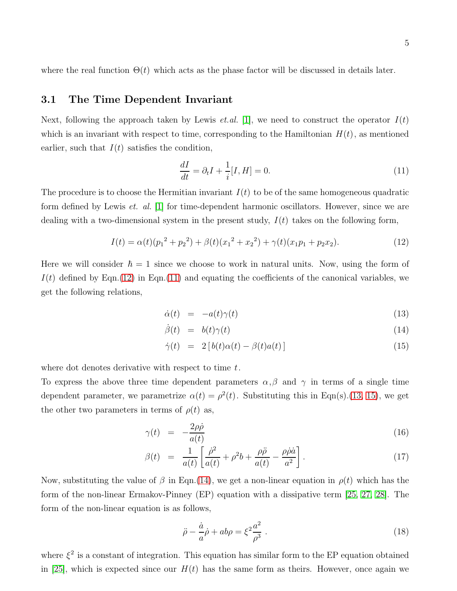where the real function  $\Theta(t)$  which acts as the phase factor will be discussed in details later.

#### 3.1 The Time Dependent Invariant

Next, following the approach taken by Lewis *et.al.* [\[1\]](#page-25-0), we need to construct the operator  $I(t)$ which is an invariant with respect to time, corresponding to the Hamiltonian  $H(t)$ , as mentioned earlier, such that  $I(t)$  satisfies the condition,

<span id="page-4-1"></span>
$$
\frac{dI}{dt} = \partial_t I + \frac{1}{i}[I, H] = 0.
$$
\n<sup>(11)</sup>

The procedure is to choose the Hermitian invariant  $I(t)$  to be of the same homogeneous quadratic form defined by Lewis *et. al.*  $|1|$  for time-dependent harmonic oscillators. However, since we are dealing with a two-dimensional system in the present study,  $I(t)$  takes on the following form,

<span id="page-4-0"></span>
$$
I(t) = \alpha(t)(p_1^2 + p_2^2) + \beta(t)(x_1^2 + x_2^2) + \gamma(t)(x_1p_1 + p_2x_2).
$$
 (12)

Here we will consider  $\hbar = 1$  since we choose to work in natural units. Now, using the form of  $I(t)$  defined by Eqn.[\(12\)](#page-4-0) in Eqn.[\(11\)](#page-4-1) and equating the coefficients of the canonical variables, we get the following relations,

<span id="page-4-2"></span>
$$
\dot{\alpha}(t) = -a(t)\gamma(t) \tag{13}
$$

$$
\dot{\beta}(t) = b(t)\gamma(t) \tag{14}
$$

$$
\dot{\gamma}(t) = 2 [b(t)\alpha(t) - \beta(t)a(t)] \tag{15}
$$

where dot denotes derivative with respect to time  $t$ .

To express the above three time dependent parameters  $\alpha, \beta$  and  $\gamma$  in terms of a single time dependent parameter, we parametrize  $\alpha(t) = \rho^2(t)$ . Substituting this in Eqn(s).[\(13, 15\)](#page-4-2), we get the other two parameters in terms of  $\rho(t)$  as,

$$
\gamma(t) = -\frac{2\rho\dot{\rho}}{a(t)}\tag{16}
$$

$$
\beta(t) = \frac{1}{a(t)} \left[ \frac{\dot{\rho}^2}{a(t)} + \rho^2 b + \frac{\rho \ddot{\rho}}{a(t)} - \frac{\rho \dot{\rho} \dot{a}}{a^2} \right]. \tag{17}
$$

Now, substituting the value of  $\beta$  in Eqn.[\(14\)](#page-4-2), we get a non-linear equation in  $\rho(t)$  which has the form of the non-linear Ermakov-Pinney (EP) equation with a dissipative term [\[25,](#page-26-8) [27,](#page-26-10) [28\]](#page-26-11). The form of the non-linear equation is as follows,

<span id="page-4-3"></span>
$$
\ddot{\rho} - \frac{\dot{a}}{a}\dot{\rho} + ab\rho = \xi^2 \frac{a^2}{\rho^3} \,. \tag{18}
$$

where  $\xi^2$  is a constant of integration. This equation has similar form to the EP equation obtained in [\[25\]](#page-26-8), which is expected since our  $H(t)$  has the same form as theirs. However, once again we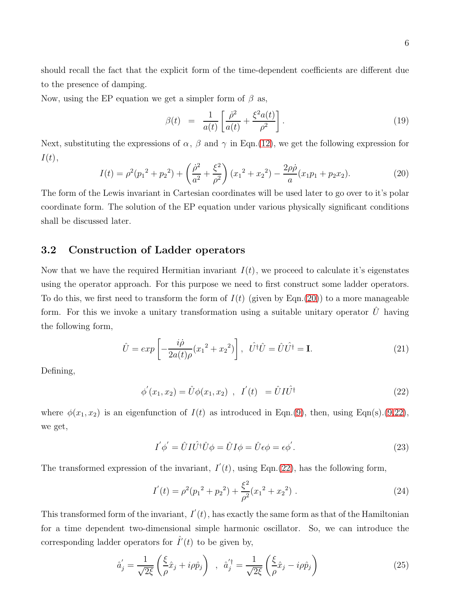should recall the fact that the explicit form of the time-dependent coefficients are different due to the presence of damping.

Now, using the EP equation we get a simpler form of  $\beta$  as,

$$
\beta(t) = \frac{1}{a(t)} \left[ \frac{\dot{\rho}^2}{a(t)} + \frac{\xi^2 a(t)}{\rho^2} \right]. \tag{19}
$$

Next, substituting the expressions of  $\alpha$ ,  $\beta$  and  $\gamma$  in Eqn.[\(12\)](#page-4-0), we get the following expression for  $I(t),$ 

<span id="page-5-0"></span>
$$
I(t) = \rho^2 (p_1^2 + p_2^2) + \left(\frac{\dot{\rho}^2}{a^2} + \frac{\xi^2}{\rho^2}\right) (x_1^2 + x_2^2) - \frac{2\rho\dot{\rho}}{a} (x_1p_1 + p_2x_2).
$$
 (20)

The form of the Lewis invariant in Cartesian coordinates will be used later to go over to it's polar coordinate form. The solution of the EP equation under various physically significant conditions shall be discussed later.

#### 3.2 Construction of Ladder operators

Now that we have the required Hermitian invariant  $I(t)$ , we proceed to calculate it's eigenstates using the operator approach. For this purpose we need to first construct some ladder operators. To do this, we first need to transform the form of  $I(t)$  (given by Eqn.[\(20\)](#page-5-0)) to a more manageable form. For this we invoke a unitary transformation using a suitable unitary operator  $\hat{U}$  having the following form,

$$
\hat{U} = exp\left[-\frac{i\dot{\rho}}{2a(t)\rho}(x_1^2 + x_2^2)\right], \quad \hat{U}^\dagger\hat{U} = \hat{U}\hat{U}^\dagger = \mathbf{I}.\tag{21}
$$

Defining,

<span id="page-5-1"></span>
$$
\phi'(x_1, x_2) = \hat{U}\phi(x_1, x_2) , I'(t) = \hat{U}I\hat{U}^{\dagger}
$$
\n(22)

where  $\phi(x_1, x_2)$  is an eigenfunction of  $I(t)$  as introduced in Eqn.[\(9\)](#page-3-2), then, using Eqn(s).[\(9](#page-3-2)[,22\)](#page-5-1), we get,

$$
I' \phi' = \hat{U} I \hat{U}^{\dagger} \hat{U} \phi = \hat{U} I \phi = \hat{U} \epsilon \phi = \epsilon \phi'.
$$
 (23)

The transformed expression of the invariant,  $I'(t)$ , using Eqn.[\(22\)](#page-5-1), has the following form,

$$
I'(t) = \rho^2 (p_1^2 + p_2^2) + \frac{\xi^2}{\rho^2} (x_1^2 + x_2^2) \tag{24}
$$

This transformed form of the invariant,  $I'(t)$ , has exactly the same form as that of the Hamiltonian for a time dependent two-dimensional simple harmonic oscillator. So, we can introduce the corresponding ladder operators for  $\hat{I}'(t)$  to be given by,

$$
\hat{a}'_j = \frac{1}{\sqrt{2\xi}} \left( \frac{\xi}{\rho} \hat{x}_j + i\rho \hat{p}_j \right) , \quad \hat{a}'_j = \frac{1}{\sqrt{2\xi}} \left( \frac{\xi}{\rho} \hat{x}_j - i\rho \hat{p}_j \right)
$$
(25)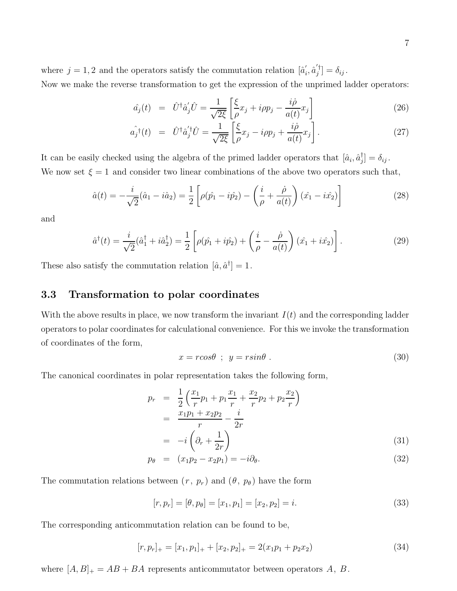where  $j = 1, 2$  and the operators satisfy the commutation relation  $[\hat{a}'_i]$  $i, \hat{a}'^{\dagger}_j$  $\left[\begin{smallmatrix}\mathsf{I}\\j\end{smallmatrix}\right]=\delta_{ij}$  .

Now we make the reverse transformation to get the expression of the unprimed ladder operators:

$$
\hat{a}_j(t) = \hat{U}^\dagger \hat{a}_j' \hat{U} = \frac{1}{\sqrt{2\xi}} \left[ \frac{\xi}{\rho} x_j + i \rho p_j - \frac{i\dot{\rho}}{a(t)} x_j \right]
$$
\n(26)

$$
\hat{a_j}(t) = \hat{U}^\dagger \hat{a}_j' \hat{U} = \frac{1}{\sqrt{2\xi}} \left[ \frac{\xi}{\rho} x_j - i \rho p_j + \frac{i\dot{\rho}}{a(t)} x_j \right]. \tag{27}
$$

It can be easily checked using the algebra of the primed ladder operators that  $[\hat{a}_i, \hat{a}_j^{\dagger}]$  $\left[\begin{smallmatrix}\n j\n\end{smallmatrix}\right]=\delta_{ij}$  . We now set  $\xi = 1$  and consider two linear combinations of the above two operators such that,

$$
\hat{a}(t) = -\frac{i}{\sqrt{2}}(\hat{a}_1 - i\hat{a}_2) = \frac{1}{2} \left[ \rho(\hat{p}_1 - i\hat{p}_2) - \left(\frac{i}{\rho} + \frac{\dot{\rho}}{a(t)}\right)(\hat{x}_1 - i\hat{x}_2) \right]
$$
(28)

and

$$
\hat{a}^{\dagger}(t) = \frac{i}{\sqrt{2}} (\hat{a}_1^{\dagger} + i \hat{a}_2^{\dagger}) = \frac{1}{2} \left[ \rho(\hat{p}_1 + i \hat{p}_2) + \left(\frac{i}{\rho} - \frac{\dot{\rho}}{a(t)}\right) (\hat{x}_1 + i \hat{x}_2) \right].
$$
 (29)

These also satisfy the commutation relation  $[\hat{a}, \hat{a}^{\dagger}] = 1$ .

#### 3.3 Transformation to polar coordinates

With the above results in place, we now transform the invariant  $I(t)$  and the corresponding ladder operators to polar coordinates for calculational convenience. For this we invoke the transformation of coordinates of the form,

$$
x = r\cos\theta \quad ; \quad y = r\sin\theta \tag{30}
$$

The canonical coordinates in polar representation takes the following form,

$$
p_r = \frac{1}{2} \left( \frac{x_1}{r} p_1 + p_1 \frac{x_1}{r} + \frac{x_2}{r} p_2 + p_2 \frac{x_2}{r} \right)
$$
  
= 
$$
\frac{x_1 p_1 + x_2 p_2}{r} - \frac{i}{2r}
$$
  
= 
$$
-i \left( \partial_r + \frac{1}{2r} \right)
$$
 (31)

$$
p_{\theta} = (x_1 p_2 - x_2 p_1) = -i \partial_{\theta}.
$$
\n(32)

The commutation relations between  $(r, p_r)$  and  $(\theta, p_{\theta})$  have the form

$$
[r, p_r] = [\theta, p_\theta] = [x_1, p_1] = [x_2, p_2] = i.
$$
\n(33)

The corresponding anticommutation relation can be found to be,

$$
[r, p_r]_+ = [x_1, p_1]_+ + [x_2, p_2]_+ = 2(x_1 p_1 + p_2 x_2)
$$
\n(34)

where  $[A, B]_+ = AB + BA$  represents anticommutator between operators A, B.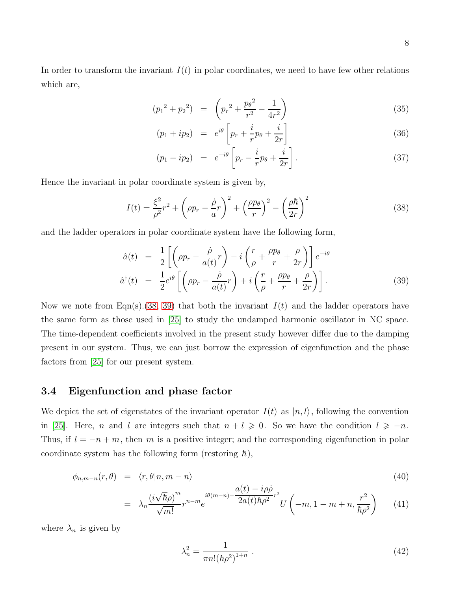8

In order to transform the invariant  $I(t)$  in polar coordinates, we need to have few other relations which are,

$$
(p_1^2 + p_2^2) = \left(p_r^2 + \frac{p_\theta^2}{r^2} - \frac{1}{4r^2}\right)
$$
\n(35)

$$
(p_1 + ip_2) = e^{i\theta} \left[ p_r + \frac{i}{r} p_\theta + \frac{i}{2r} \right] \tag{36}
$$

$$
(p_1 - ip_2) = e^{-i\theta} \left[ p_r - \frac{i}{r} p_\theta + \frac{i}{2r} \right]. \tag{37}
$$

Hence the invariant in polar coordinate system is given by,

<span id="page-7-0"></span>
$$
I(t) = \frac{\xi^2}{\rho^2}r^2 + \left(\rho p_r - \frac{\dot{\rho}}{a}r\right)^2 + \left(\frac{\rho p_\theta}{r}\right)^2 - \left(\frac{\rho \hbar}{2r}\right)^2 \tag{38}
$$

and the ladder operators in polar coordinate system have the following form,

<span id="page-7-1"></span>
$$
\hat{a}(t) = \frac{1}{2} \left[ \left( \rho p_r - \frac{\dot{\rho}}{a(t)} r \right) - i \left( \frac{r}{\rho} + \frac{\rho p_\theta}{r} + \frac{\rho}{2r} \right) \right] e^{-i\theta}
$$
\n
$$
\hat{a}^\dagger(t) = \frac{1}{2} e^{i\theta} \left[ \left( \rho p_r - \frac{\dot{\rho}}{a(t)} r \right) + i \left( \frac{r}{\rho} + \frac{\rho p_\theta}{r} + \frac{\rho}{2r} \right) \right]. \tag{39}
$$

Now we note from Eqn(s).[\(38,](#page-7-0) [39\)](#page-7-1) that both the invariant  $I(t)$  and the ladder operators have the same form as those used in [\[25\]](#page-26-8) to study the undamped harmonic oscillator in NC space. The time-dependent coefficients involved in the present study however differ due to the damping present in our system. Thus, we can just borrow the expression of eigenfunction and the phase factors from [\[25\]](#page-26-8) for our present system.

#### 3.4 Eigenfunction and phase factor

We depict the set of eigenstates of the invariant operator  $I(t)$  as  $|n, l\rangle$ , following the convention in [\[25\]](#page-26-8). Here, n and l are integers such that  $n + l \geq 0$ . So we have the condition  $l \geq -n$ . Thus, if  $l = -n + m$ , then m is a positive integer; and the corresponding eigenfunction in polar coordinate system has the following form (restoring  $\hbar$ ),

<span id="page-7-2"></span>
$$
\phi_{n,m-n}(r,\theta) = \langle r,\theta|n,m-n\rangle \tag{40}
$$

$$
= \lambda_n \frac{\left(i\sqrt{\hbar}\rho\right)^m}{\sqrt{m!}} r^{n-m} e^{i\theta(m-n) - \frac{a(t) - i\rho\rho}{2a(t)\hbar\rho^2} r^2} U\left(-m, 1 - m + n, \frac{r^2}{\hbar\rho^2}\right) \tag{41}
$$

where  $\lambda_n$  is given by

$$
\lambda_n^2 = \frac{1}{\pi n! (\hbar \rho^2)^{1+n}} \ . \tag{42}
$$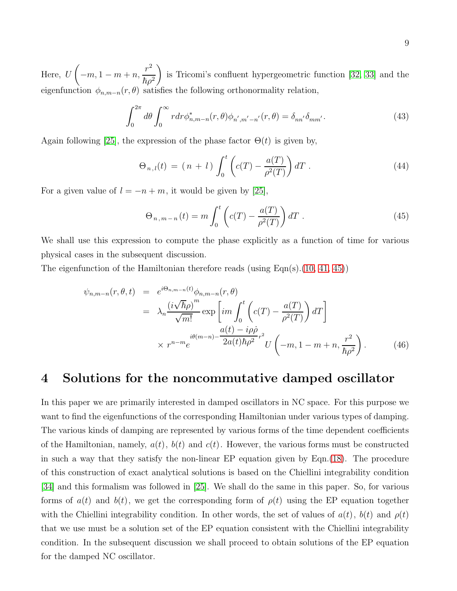Here, U  $\sqrt{ }$  $-m, 1-m+n,$  $r^2$  $\hbar\rho^2$  $\setminus$ is Tricomi's confluent hypergeometric function [\[32,](#page-27-2) [33\]](#page-27-3) and the eigenfunction  $\phi_{n,m-n}(r,\theta)$  satisfies the following orthonormality relation,

$$
\int_0^{2\pi} d\theta \int_0^{\infty} r dr \phi_{n,m-n}^*(r,\theta) \phi_{n',m'-n'}(r,\theta) = \delta_{nn'} \delta_{mm'}.
$$
 (43)

Again following [\[25\]](#page-26-8), the expression of the phase factor  $\Theta(t)$  is given by,

$$
\Theta_{n,l}(t) = (n+l) \int_0^t \left( c(T) - \frac{a(T)}{\rho^2(T)} \right) dT \,. \tag{44}
$$

For a given value of  $l = -n + m$ , it would be given by [\[25\]](#page-26-8),

<span id="page-8-0"></span>
$$
\Theta_{n,m-n}(t) = m \int_0^t \left( c(T) - \frac{a(T)}{\rho^2(T)} \right) dT \tag{45}
$$

We shall use this expression to compute the phase explicitly as a function of time for various physical cases in the subsequent discussion.

The eigenfunction of the Hamiltonian therefore reads (using  $\text{Eqn}(s)$ .[\(10,](#page-3-3) [41,](#page-7-2) [45\)](#page-8-0))

$$
\psi_{n,m-n}(r,\theta,t) = e^{i\Theta_{n,m-n}(t)}\phi_{n,m-n}(r,\theta)
$$
  
\n
$$
= \lambda_n \frac{\left(i\sqrt{\hbar}\rho\right)^m}{\sqrt{m!}} \exp\left[i m \int_0^t \left(c(T) - \frac{a(T)}{\rho^2(T)}\right) dT\right]
$$
  
\n
$$
\times r^{n-m} e^{i\theta(m-n) - \frac{a(t) - i\rho\dot{\rho}}{2a(t)\hbar\rho^2}r^2} U\left(-m, 1 - m + n, \frac{r^2}{\hbar\rho^2}\right).
$$
 (46)

### 4 Solutions for the noncommutative damped oscillator

In this paper we are primarily interested in damped oscillators in NC space. For this purpose we want to find the eigenfunctions of the corresponding Hamiltonian under various types of damping. The various kinds of damping are represented by various forms of the time dependent coefficients of the Hamiltonian, namely,  $a(t)$ ,  $b(t)$  and  $c(t)$ . However, the various forms must be constructed in such a way that they satisfy the non-linear EP equation given by Eqn.[\(18\)](#page-4-3). The procedure of this construction of exact analytical solutions is based on the Chiellini integrability condition [\[34\]](#page-27-4) and this formalism was followed in [\[25\]](#page-26-8). We shall do the same in this paper. So, for various forms of  $a(t)$  and  $b(t)$ , we get the corresponding form of  $\rho(t)$  using the EP equation together with the Chiellini integrability condition. In other words, the set of values of  $a(t)$ ,  $b(t)$  and  $\rho(t)$ that we use must be a solution set of the EP equation consistent with the Chiellini integrability condition. In the subsequent discussion we shall proceed to obtain solutions of the EP equation for the damped NC oscillator.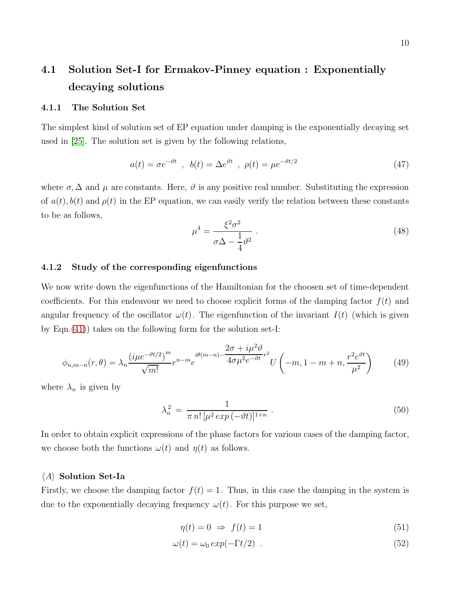# 4.1 Solution Set-I for Ermakov-Pinney equation : Exponentially decaying solutions

#### 4.1.1 The Solution Set

The simplest kind of solution set of EP equation under damping is the exponentially decaying set used in [\[25\]](#page-26-8). The solution set is given by the following relations,

<span id="page-9-0"></span>
$$
a(t) = \sigma e^{-\vartheta t} , b(t) = \Delta e^{\vartheta t} , \rho(t) = \mu e^{-\vartheta t/2}
$$
 (47)

where  $\sigma$ ,  $\Delta$  and  $\mu$  are constants. Here,  $\vartheta$  is any positive real number. Substituting the expression of  $a(t)$ ,  $b(t)$  and  $\rho(t)$  in the EP equation, we can easily verify the relation between these constants to be as follows,

<span id="page-9-1"></span>
$$
\mu^4 = \frac{\xi^2 \sigma^2}{\sigma \Delta - \frac{1}{4} \vartheta^2} \,. \tag{48}
$$

#### 4.1.2 Study of the corresponding eigenfunctions

We now write down the eigenfunctions of the Hamiltonian for the choosen set of time-dependent coefficients. For this endeavour we need to choose explicit forms of the damping factor  $f(t)$  and angular frequency of the oscillator  $\omega(t)$ . The eigenfunction of the invariant  $I(t)$  (which is given by Eqn.[\(41\)](#page-7-2)) takes on the following form for the solution set-I:

$$
\phi_{n,m-n}(r,\theta) = \lambda_n \frac{(i\mu e^{-\vartheta t/2})^m}{\sqrt{m!}} r^{n-m} e^{i\theta(m-n) - \frac{2\sigma + i\mu^2 \vartheta}{4\sigma\mu^2 e^{-\vartheta t}}r^2} U\left(-m, 1-m+n, \frac{r^2 e^{\vartheta t}}{\mu^2}\right)
$$
(49)

where  $\lambda_n$  is given by

$$
\lambda_n^2 = \frac{1}{\pi n! \, [\mu^2 \exp(-\vartheta t)]^{1+n}} \,. \tag{50}
$$

In order to obtain explicit expressions of the phase factors for various cases of the damping factor, we choose both the functions  $\omega(t)$  and  $\eta(t)$  as follows.

#### $\langle A \rangle$  Solution Set-Ia

Firstly, we choose the damping factor  $f(t) = 1$ . Thus, in this case the damping in the system is due to the exponentially decaying frequency  $\omega(t)$ . For this purpose we set,

$$
\eta(t) = 0 \Rightarrow f(t) = 1 \tag{51}
$$

$$
\omega(t) = \omega_0 \exp(-\Gamma t/2) \tag{52}
$$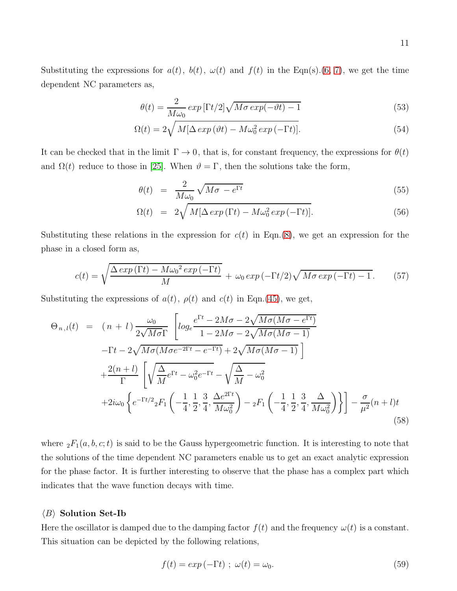Substituting the expressions for  $a(t)$ ,  $b(t)$ ,  $\omega(t)$  and  $f(t)$  in the Eqn(s).[\(6, 7\)](#page-3-1), we get the time dependent NC parameters as,

$$
\theta(t) = \frac{2}{M\omega_0} \exp\left[\Gamma t/2\right] \sqrt{M\sigma \exp(-\vartheta t) - 1} \tag{53}
$$

$$
\Omega(t) = 2\sqrt{M[\Delta \exp(\vartheta t) - M\omega_0^2 \exp(-\Gamma t)]}.
$$
\n(54)

It can be checked that in the limit  $\Gamma \to 0$ , that is, for constant frequency, the expressions for  $\theta(t)$ and  $\Omega(t)$  reduce to those in [\[25\]](#page-26-8). When  $\vartheta = \Gamma$ , then the solutions take the form,

$$
\theta(t) = \frac{2}{M\omega_0} \sqrt{M\sigma - e^{\Gamma t}} \tag{55}
$$

$$
\Omega(t) = 2\sqrt{M[\Delta \exp(\Gamma t) - M\omega_0^2 \exp(-\Gamma t)]}.
$$
\n(56)

Substituting these relations in the expression for  $c(t)$  in Eqn.[\(8\)](#page-3-1), we get an expression for the phase in a closed form as,

$$
c(t) = \sqrt{\frac{\Delta \exp\left(\Gamma t\right) - M\omega_0^2 \exp\left(-\Gamma t\right)}{M}} + \omega_0 \exp\left(-\Gamma t/2\right) \sqrt{M\sigma \exp\left(-\Gamma t\right) - 1}.\tag{57}
$$

Substituting the expressions of  $a(t)$ ,  $\rho(t)$  and  $c(t)$  in Eqn.[\(45\)](#page-8-0), we get,

$$
\Theta_{n,l}(t) = (n+l) \frac{\omega_0}{2\sqrt{M\sigma}\Gamma} \left[ log_e \frac{e^{\Gamma t} - 2M\sigma - 2\sqrt{M\sigma(M\sigma - e^{\Gamma t})}}{1 - 2M\sigma - 2\sqrt{M\sigma(M\sigma - 1)}} \right]
$$
  
-  $\Gamma t - 2\sqrt{M\sigma(M\sigma e^{-2\Gamma t} - e^{-\Gamma t})} + 2\sqrt{M\sigma(M\sigma - 1)} \right]$   
+  $\frac{2(n+l)}{\Gamma} \left[ \sqrt{\frac{\Delta}{M}} e^{\Gamma t} - \omega_0^2 e^{-\Gamma t} - \sqrt{\frac{\Delta}{M}} - \omega_0^2 \right]$   
+  $2i\omega_0 \left\{ e^{-\Gamma t/2} {}_2F_1 \left( -\frac{1}{4}, \frac{1}{2}, \frac{3}{4}, \frac{\Delta e^{2\Gamma t}}{M\omega_0^2} \right) - {}_2F_1 \left( -\frac{1}{4}, \frac{1}{2}, \frac{3}{4}, \frac{\Delta}{M\omega_0^2} \right) \right\} \right] - \frac{\sigma}{\mu^2} (n+l)t$   
(58)

where  ${}_2F_1(a, b, c; t)$  is said to be the Gauss hypergeometric function. It is interesting to note that the solutions of the time dependent NC parameters enable us to get an exact analytic expression for the phase factor. It is further interesting to observe that the phase has a complex part which indicates that the wave function decays with time.

#### $\langle B \rangle$  Solution Set-Ib

Here the oscillator is damped due to the damping factor  $f(t)$  and the frequency  $\omega(t)$  is a constant. This situation can be depicted by the following relations,

$$
f(t) = exp(-\Gamma t) ; \omega(t) = \omega_0.
$$
 (59)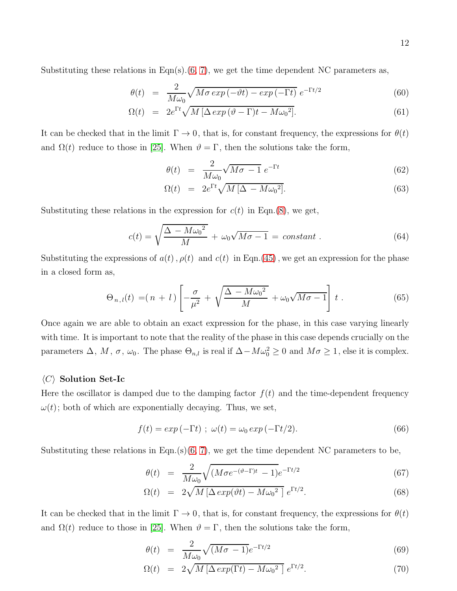12

Substituting these relations in Eqn(s).[\(6, 7\)](#page-3-1), we get the time dependent NC parameters as,

$$
\theta(t) = \frac{2}{M\omega_0} \sqrt{M\sigma \exp(-\vartheta t) - \exp(-\Gamma t)} \, e^{-\Gamma t/2} \tag{60}
$$

$$
\Omega(t) = 2e^{\Gamma t} \sqrt{M \left[ \Delta \exp \left( \vartheta - \Gamma \right) t - M \omega_0^2 \right]}.
$$
\n(61)

It can be checked that in the limit  $\Gamma \to 0$ , that is, for constant frequency, the expressions for  $\theta(t)$ and  $\Omega(t)$  reduce to those in [\[25\]](#page-26-8). When  $\vartheta = \Gamma$ , then the solutions take the form,

$$
\theta(t) = \frac{2}{M\omega_0} \sqrt{M\sigma - 1} e^{-\Gamma t} \tag{62}
$$

$$
\Omega(t) = 2e^{\Gamma t} \sqrt{M \left[ \Delta - M \omega_0^2 \right]}.
$$
\n(63)

Substituting these relations in the expression for  $c(t)$  in Eqn.[\(8\)](#page-3-1), we get,

$$
c(t) = \sqrt{\frac{\Delta - M\omega_0^2}{M}} + \omega_0\sqrt{M\sigma - 1} = constant.
$$
\n(64)

Substituting the expressions of  $a(t)$ ,  $\rho(t)$  and  $c(t)$  in Eqn.[\(45\)](#page-8-0), we get an expression for the phase in a closed form as,

$$
\Theta_{n,l}(t) = (n+l) \left[ -\frac{\sigma}{\mu^2} + \sqrt{\frac{\Delta - M\omega_0^2}{M}} + \omega_0 \sqrt{M\sigma - 1} \right] t . \tag{65}
$$

Once again we are able to obtain an exact expression for the phase, in this case varying linearly with time. It is important to note that the reality of the phase in this case depends crucially on the parameters  $\Delta$ ,  $M$ ,  $\sigma$ ,  $\omega_0$ . The phase  $\Theta_{n,l}$  is real if  $\Delta-M\omega_0^2\geq 0$  and  $M\sigma\geq 1$ , else it is complex.

#### $\langle C \rangle$  Solution Set-Ic

Here the oscillator is damped due to the damping factor  $f(t)$  and the time-dependent frequency  $\omega(t)$ ; both of which are exponentially decaying. Thus, we set,

$$
f(t) = exp(-\Gamma t) ; \omega(t) = \omega_0 exp(-\Gamma t/2).
$$
 (66)

Substituting these relations in Eqn.(s) $(6, 7)$ , we get the time dependent NC parameters to be,

$$
\theta(t) = \frac{2}{M\omega_0} \sqrt{(M\sigma e^{-(\vartheta - \Gamma)t} - 1)} e^{-\Gamma t/2}
$$
\n(67)

$$
\Omega(t) = 2\sqrt{M\left[\Delta \exp(\vartheta t) - M\omega_0^2\right]} e^{\Gamma t/2}.
$$
\n(68)

It can be checked that in the limit  $\Gamma \to 0$ , that is, for constant frequency, the expressions for  $\theta(t)$ and  $\Omega(t)$  reduce to those in [\[25\]](#page-26-8). When  $\vartheta = \Gamma$ , then the solutions take the form,

$$
\theta(t) = \frac{2}{M\omega_0} \sqrt{(M\sigma - 1)} e^{-\Gamma t/2} \tag{69}
$$

$$
\Omega(t) = 2\sqrt{M\left[\Delta \exp(\Gamma t) - M\omega_0^2\right]} e^{\Gamma t/2}.
$$
\n(70)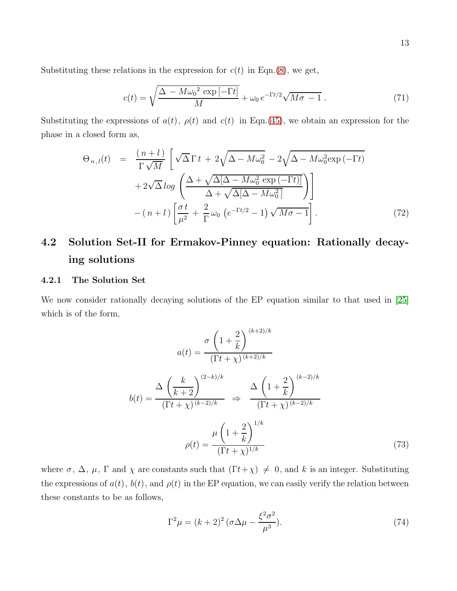Substituting these relations in the expression for  $c(t)$  in Eqn.[\(8\)](#page-3-1), we get,

$$
c(t) = \sqrt{\frac{\Delta - M\omega_0^2 \exp[-\Gamma t]}{M}} + \omega_0 e^{-\Gamma t/2} \sqrt{M\sigma - 1} . \tag{71}
$$

Substituting the expressions of  $a(t)$ ,  $\rho(t)$  and  $c(t)$  in Eqn.[\(45\)](#page-8-0), we obtain an expression for the phase in a closed form as,

$$
\Theta_{n,l}(t) = \frac{(n+l)}{\Gamma\sqrt{M}} \left[ \sqrt{\Delta} \Gamma t + 2\sqrt{\Delta - M\omega_0^2} - 2\sqrt{\Delta - M\omega_0^2 \exp(-\Gamma t)} + 2\sqrt{\Delta} \log \left( \frac{\Delta + \sqrt{\Delta[\Delta - M\omega_0^2 \exp(-\Gamma t)]}}{\Delta + \sqrt{\Delta[\Delta - M\omega_0^2]}} \right) \right] - (n+l) \left[ \frac{\sigma t}{\mu^2} + \frac{2}{\Gamma} \omega_0 \left( e^{-\Gamma t/2} - 1 \right) \sqrt{M\sigma - 1} \right]. \tag{72}
$$

# 4.2 Solution Set-II for Ermakov-Pinney equation: Rationally decaying solutions

#### 4.2.1 The Solution Set

We now consider rationally decaying solutions of the EP equation similar to that used in [\[25\]](#page-26-8) which is of the form,

$$
a(t) = \frac{\sigma \left(1 + \frac{2}{k}\right)^{(k+2)/k}}{(\Gamma t + \chi)^{(k+2)/k}}
$$

$$
b(t) = \frac{\Delta \left(\frac{k}{k+2}\right)^{(2-k)/k}}{(\Gamma t + \chi)^{(k-2)/k}} \implies \frac{\Delta \left(1 + \frac{2}{k}\right)^{(k-2)/k}}{(\Gamma t + \chi)^{(k-2)/k}}
$$

$$
\rho(t) = \frac{\mu \left(1 + \frac{2}{k}\right)^{1/k}}{(\Gamma t + \chi)^{1/k}}
$$
(73)

where  $\sigma$ ,  $\Delta$ ,  $\mu$ ,  $\Gamma$  and  $\chi$  are constants such that  $(\Gamma t + \chi) \neq 0$ , and k is an integer. Substituting the expressions of  $a(t)$ ,  $b(t)$ , and  $\rho(t)$  in the EP equation, we can easily verify the relation between these constants to be as follows,

$$
\Gamma^2 \mu = (k+2)^2 \left(\sigma \Delta \mu - \frac{\xi^2 \sigma^2}{\mu^3}\right). \tag{74}
$$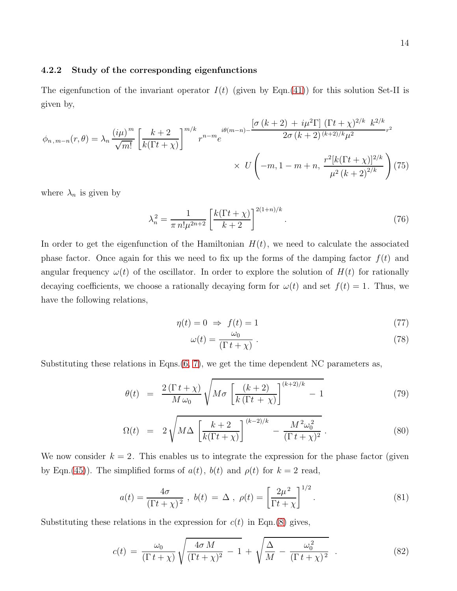#### 4.2.2 Study of the corresponding eigenfunctions

The eigenfunction of the invariant operator  $I(t)$  (given by Eqn.[\(41\)](#page-7-2)) for this solution Set-II is given by,

$$
\phi_{n,m-n}(r,\theta) = \lambda_n \frac{(i\mu)^m}{\sqrt{m!}} \left[ \frac{k+2}{k(\Gamma t + \chi)} \right]^{m/k} r^{n-m} e^{i\theta(m-n) - \frac{\left[\sigma\left(k+2\right) + i\mu^2 \Gamma\right] (\Gamma t + \chi)^{2/k} k^{2/k}}{2\sigma (k+2)^{(k+2)/k} \mu^2} r^2 \times U\left(-m, 1-m+n, \frac{r^2 [k(\Gamma t + \chi)]^{2/k}}{\mu^2 (k+2)^{2/k}}\right) (75)
$$

where  $\lambda_n$  is given by

$$
\lambda_n^2 = \frac{1}{\pi n! \mu^{2n+2}} \left[ \frac{k(\Gamma t + \chi)}{k+2} \right]^{2(1+n)/k} . \tag{76}
$$

In order to get the eigenfunction of the Hamiltonian  $H(t)$ , we need to calculate the associated phase factor. Once again for this we need to fix up the forms of the damping factor  $f(t)$  and angular frequency  $\omega(t)$  of the oscillator. In order to explore the solution of  $H(t)$  for rationally decaying coefficients, we choose a rationally decaying form for  $\omega(t)$  and set  $f(t) = 1$ . Thus, we have the following relations,

$$
\eta(t) = 0 \Rightarrow f(t) = 1 \tag{77}
$$

$$
\omega(t) = \frac{\omega_0}{(\Gamma t + \chi)}\,. \tag{78}
$$

Substituting these relations in Eqns. $(6, 7)$ , we get the time dependent NC parameters as,

$$
\theta(t) = \frac{2(\Gamma t + \chi)}{M\,\omega_0} \sqrt{M\sigma \left[\frac{(k+2)}{k(\Gamma t + \chi)}\right]^{(k+2)/k} - 1} \tag{79}
$$

$$
\Omega(t) = 2\sqrt{M\Delta \left[\frac{k+2}{k(\Gamma t + \chi)}\right]^{(k-2)/k} - \frac{M^2\omega_0^2}{(\Gamma t + \chi)^2}}.
$$
\n(80)

We now consider  $k = 2$ . This enables us to integrate the expression for the phase factor (given by Eqn.[\(45\)](#page-8-0)). The simplified forms of  $a(t)$ ,  $b(t)$  and  $\rho(t)$  for  $k = 2$  read,

$$
a(t) = \frac{4\sigma}{(\Gamma t + \chi)^2}, \ b(t) = \Delta, \ \rho(t) = \left[\frac{2\mu^2}{\Gamma t + \chi}\right]^{1/2}.
$$
 (81)

Substituting these relations in the expression for  $c(t)$  in Eqn.[\(8\)](#page-3-1) gives,

$$
c(t) = \frac{\omega_0}{(\Gamma t + \chi)} \sqrt{\frac{4\sigma M}{(\Gamma t + \chi)^2} - 1} + \sqrt{\frac{\Delta}{M} - \frac{\omega_0^2}{(\Gamma t + \chi)^2}}.
$$
 (82)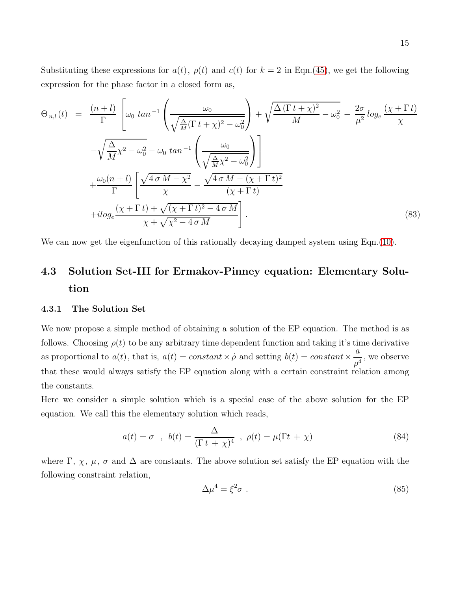Substituting these expressions for  $a(t)$ ,  $\rho(t)$  and  $c(t)$  for  $k = 2$  in Eqn.[\(45\)](#page-8-0), we get the following expression for the phase factor in a closed form as,

$$
\Theta_{n,l}(t) = \frac{(n+l)}{\Gamma} \left[ \omega_0 \tan^{-1} \left( \frac{\omega_0}{\sqrt{\frac{\Delta}{M} (\Gamma t + \chi)^2 - \omega_0^2}} \right) + \sqrt{\frac{\Delta (\Gamma t + \chi)^2}{M} - \omega_0^2} - \frac{2\sigma}{\mu^2} \log_e \frac{(\chi + \Gamma t)}{\chi} \right] \n- \sqrt{\frac{\Delta}{M} \chi^2 - \omega_0^2 - \omega_0 \tan^{-1} \left( \frac{\omega_0}{\sqrt{\frac{\Delta}{M} \chi^2 - \omega_0^2}} \right)} + \frac{\omega_0 (n+l)}{\Gamma} \left[ \frac{\sqrt{4 \sigma M - \chi^2}}{\chi} - \frac{\sqrt{4 \sigma M - (\chi + \Gamma t)^2}}{(\chi + \Gamma t)} \right] \n+ i \log_e \frac{(\chi + \Gamma t) + \sqrt{(\chi + \Gamma t)^2 - 4 \sigma M}}{\chi + \sqrt{\chi^2 - 4 \sigma M}} \right]. \tag{83}
$$

We can now get the eigenfunction of this rationally decaying damped system using Eqn.[\(10\)](#page-3-3).

# 4.3 Solution Set-III for Ermakov-Pinney equation: Elementary Solution

#### 4.3.1 The Solution Set

We now propose a simple method of obtaining a solution of the EP equation. The method is as follows. Choosing  $\rho(t)$  to be any arbitrary time dependent function and taking it's time derivative as proportional to  $a(t)$ , that is,  $a(t) = constant \times \dot{\rho}$  and setting  $b(t) = constant \times$ a  $\frac{\alpha}{\rho^4}$ , we observe that these would always satisfy the EP equation along with a certain constraint relation among the constants.

Here we consider a simple solution which is a special case of the above solution for the EP equation. We call this the elementary solution which reads,

$$
a(t) = \sigma \quad , \quad b(t) = \frac{\Delta}{(\Gamma t + \chi)^4} \quad , \quad \rho(t) = \mu(\Gamma t + \chi) \tag{84}
$$

where  $\Gamma$ ,  $\chi$ ,  $\mu$ ,  $\sigma$  and  $\Delta$  are constants. The above solution set satisfy the EP equation with the following constraint relation,

$$
\Delta \mu^4 = \xi^2 \sigma \tag{85}
$$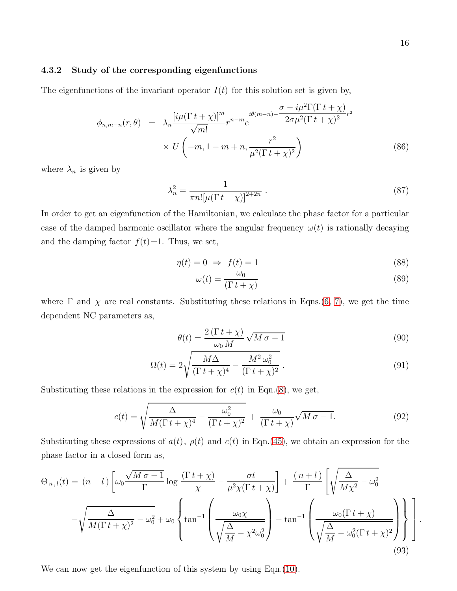#### 4.3.2 Study of the corresponding eigenfunctions

The eigenfunctions of the invariant operator  $I(t)$  for this solution set is given by,

$$
\phi_{n,m-n}(r,\theta) = \lambda_n \frac{\left[i\mu(\Gamma t + \chi)\right]^m}{\sqrt{m!}} r^{n-m} e^{i\theta(m-n) - \frac{\sigma - i\mu^2 \Gamma(\Gamma t + \chi)}{2\sigma \mu^2 (\Gamma t + \chi)^2} r^2}
$$
\n
$$
\times U\left(-m, 1 - m + n, \frac{r^2}{\mu^2(\Gamma t + \chi)^2}\right)
$$
\n(86)

where  $\lambda_n$  is given by

$$
\lambda_n^2 = \frac{1}{\pi n! [\mu (\Gamma t + \chi)]^{2+2n}} \ . \tag{87}
$$

In order to get an eigenfunction of the Hamiltonian, we calculate the phase factor for a particular case of the damped harmonic oscillator where the angular frequency  $\omega(t)$  is rationally decaying and the damping factor  $f(t)=1$ . Thus, we set,

$$
\eta(t) = 0 \Rightarrow f(t) = 1 \tag{88}
$$

$$
\omega(t) = \frac{\omega_0}{(\Gamma t + \chi)}\tag{89}
$$

where  $\Gamma$  and  $\chi$  are real constants. Substituting these relations in Eqns.[\(6, 7\)](#page-3-1), we get the time dependent NC parameters as,

$$
\theta(t) = \frac{2\left(\Gamma t + \chi\right)}{\omega_0 M} \sqrt{M \sigma - 1} \tag{90}
$$

$$
\Omega(t) = 2\sqrt{\frac{M\Delta}{(\Gamma t + \chi)^4} - \frac{M^2\omega_0^2}{(\Gamma t + \chi)^2}}.
$$
\n(91)

Substituting these relations in the expression for  $c(t)$  in Eqn.[\(8\)](#page-3-1), we get,

$$
c(t) = \sqrt{\frac{\Delta}{M(\Gamma t + \chi)^4} - \frac{\omega_0^2}{(\Gamma t + \chi)^2}} + \frac{\omega_0}{(\Gamma t + \chi)} \sqrt{M \sigma - 1}.
$$
 (92)

Substituting these expressions of  $a(t)$ ,  $\rho(t)$  and  $c(t)$  in Eqn.[\(45\)](#page-8-0), we obtain an expression for the phase factor in a closed form as,

$$
\Theta_{n,l}(t) = (n+l) \left[ \omega_0 \frac{\sqrt{M \sigma - 1}}{\Gamma} \log \frac{(\Gamma t + \chi)}{\chi} - \frac{\sigma t}{\mu^2 \chi(\Gamma t + \chi)} \right] + \frac{(n+l)}{\Gamma} \left[ \sqrt{\frac{\Delta}{M \chi^2} - \omega_0^2} - \sqrt{\frac{\Delta}{M(\Gamma t + \chi)^2} - \omega_0^2} + \omega_0 \left\{ \tan^{-1} \left( \frac{\omega_0 \chi}{\sqrt{\frac{\Delta}{M} - \chi^2 \omega_0^2}} \right) - \tan^{-1} \left( \frac{\omega_0 (\Gamma t + \chi)}{\sqrt{\frac{\Delta}{M} - \omega_0^2 (\Gamma t + \chi)^2}} \right) \right\} \right]
$$
\n(93)

We can now get the eigenfunction of this system by using Eqn.[\(10\)](#page-3-3).

.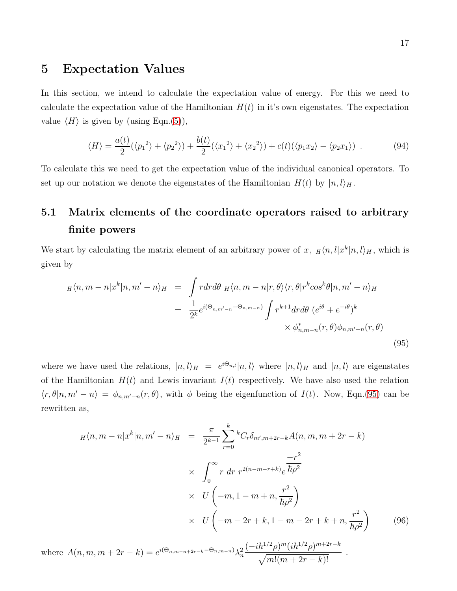### 5 Expectation Values

In this section, we intend to calculate the expectation value of energy. For this we need to calculate the expectation value of the Hamiltonian  $H(t)$  in it's own eigenstates. The expectation value  $\langle H \rangle$  is given by (using Eqn.[\(5\)](#page-3-0)),

$$
\langle H \rangle = \frac{a(t)}{2} (\langle {p_1}^2 \rangle + \langle {p_2}^2 \rangle) + \frac{b(t)}{2} (\langle {x_1}^2 \rangle + \langle {x_2}^2 \rangle) + c(t) (\langle p_1 x_2 \rangle - \langle p_2 x_1 \rangle) \tag{94}
$$

To calculate this we need to get the expectation value of the individual canonical operators. To set up our notation we denote the eigenstates of the Hamiltonian  $H(t)$  by  $|n, l\rangle_H$ .

# 5.1 Matrix elements of the coordinate operators raised to arbitrary finite powers

We start by calculating the matrix element of an arbitrary power of x,  $_H\langle n, l|x^k|n, l\rangle_H$ , which is given by

<span id="page-16-0"></span>
$$
H\langle n,m-n|x^{k}|n,m'-n\rangle_{H} = \int rdrd\theta H\langle n,m-n|r,\theta\rangle\langle r,\theta|r^{k}cos^{k}\theta|n,m'-n\rangle_{H}
$$
  

$$
= \frac{1}{2^{k}}e^{i(\Theta_{n,m'-n}-\Theta_{n,m-n})}\int r^{k+1}drd\theta (e^{i\theta}+e^{-i\theta})^{k}
$$
  

$$
\times \phi_{n,m-n}^{*}(r,\theta)\phi_{n,m'-n}(r,\theta)
$$
(95)

where we have used the relations,  $|n, l\rangle_H = e^{i\Theta_{n,l}}|n, l\rangle$  where  $|n, l\rangle_H$  and  $|n, l\rangle$  are eigenstates of the Hamiltonian  $H(t)$  and Lewis invariant  $I(t)$  respectively. We have also used the relation  $\langle r, \theta | n, m' - n \rangle = \phi_{n,m'-n}(r, \theta)$ , with  $\phi$  being the eigenfunction of  $I(t)$ . Now, Eqn.[\(95\)](#page-16-0) can be rewritten as,

$$
H\langle n, m - n | x^{k} | n, m' - n \rangle_{H} = \frac{\pi}{2^{k-1}} \sum_{r=0}^{k} {}^{k}C_{r}\delta_{m', m+2r-k} A(n, m, m+2r-k)
$$
  

$$
\times \int_{0}^{\infty} r dr r^{2(n-m-r+k)} e^{\frac{-r^{2}}{\hbar \rho^{2}}}
$$
  

$$
\times U\left(-m, 1 - m + n, \frac{r^{2}}{\hbar \rho^{2}}\right)
$$
  

$$
\times U\left(-m - 2r + k, 1 - m - 2r + k + n, \frac{r^{2}}{\hbar \rho^{2}}\right)
$$
(96)  
where  $A(n, m, m + 2r - k) = e^{i(\Theta_{n, m-n+2r-k} - \Theta_{n, m-n})} \lambda_{n}^{2} \frac{(-i\hbar^{1/2}\rho)^{m} (i\hbar^{1/2}\rho)^{m+2r-k}}{\sqrt{m!(m+2r-k)!}}.$ 

 $\sqrt{m!(m+2r-k)!}$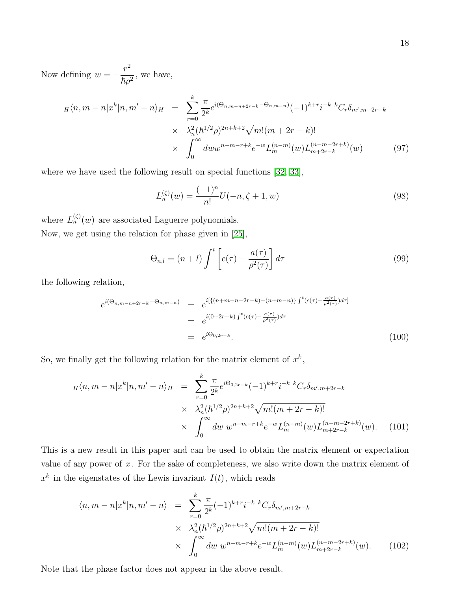Now defining  $w =$  $r^2$  $\frac{1}{\hbar \rho^2}$ , we have,

$$
H\langle n, m-n|x^{k}|n, m'-n\rangle_{H} = \sum_{r=0}^{k} \frac{\pi}{2^{k}} e^{i(\Theta_{n,m-n+2r-k}-\Theta_{n,m-n})} (-1)^{k+r} i^{-k} {^{k}C_{r}} \delta_{m',m+2r-k}
$$
  
 
$$
\times \lambda_{n}^{2} (\hbar^{1/2} \rho)^{2n+k+2} \sqrt{m! (m+2r-k)!}
$$
  
 
$$
\times \int_{0}^{\infty} dw w^{n-m-r+k} e^{-w} L_{m}^{(n-m)}(w) L_{m+2r-k}^{(n-m-k)}(w) \qquad (97)
$$

where we have used the following result on special functions [\[32,](#page-27-2) [33\]](#page-27-3),

$$
L_n^{(\zeta)}(w) = \frac{(-1)^n}{n!} U(-n, \zeta + 1, w)
$$
\n(98)

where  $L_n^{(\zeta)}(w)$  are associated Laguerre polynomials. Now, we get using the relation for phase given in [\[25\]](#page-26-8),

$$
\Theta_{n,l} = (n+l) \int^t \left[ c(\tau) - \frac{a(\tau)}{\rho^2(\tau)} \right] d\tau \tag{99}
$$

the following relation,

$$
e^{i(\Theta_{n,m-n+2r-k}-\Theta_{n,m-n})} = e^{i\left[\{(n+m-n+2r-k)-(n+m-n)\}\int^t (c(\tau)-\frac{a(\tau)}{\rho^2(\tau)})d\tau\right]}
$$
  

$$
= e^{i(0+2r-k)\int^t (c(\tau)-\frac{a(\tau)}{\rho^2(\tau)})d\tau}
$$
  

$$
= e^{i\Theta_{0,2r-k}}.
$$
(100)

So, we finally get the following relation for the matrix element of  $x^k$ ,

<span id="page-17-0"></span>
$$
H\langle n, m - n | x^{k} | n, m' - n \rangle_{H} = \sum_{r=0}^{k} \frac{\pi}{2^{k}} e^{i\Theta_{0,2r-k}} (-1)^{k+r} i^{-k} {^{k}C_{r}} \delta_{m',m+2r-k}
$$

$$
\times \lambda_{n}^{2} (\hbar^{1/2} \rho)^{2n+k+2} \sqrt{m! (m + 2r - k)!}
$$

$$
\times \int_{0}^{\infty} dw \ w^{n-m-r+k} e^{-w} L_{m}^{(n-m)}(w) L_{m+2r-k}^{(n-m-k)}(w). \tag{101}
$$

This is a new result in this paper and can be used to obtain the matrix element or expectation value of any power of  $x$ . For the sake of completeness, we also write down the matrix element of  $x^k$  in the eigenstates of the Lewis invariant  $I(t)$ , which reads

$$
\langle n, m - n | x^{k} | n, m' - n \rangle = \sum_{r=0}^{k} \frac{\pi}{2^{k}} (-1)^{k+r} i^{-k} {^{k}C_{r}} \delta_{m', m+2r-k}
$$
  
 
$$
\times \lambda_{n}^{2} (\hbar^{1/2} \rho)^{2n+k+2} \sqrt{m! (m + 2r - k)!}
$$
  
 
$$
\times \int_{0}^{\infty} dw \ w^{n-m-r+k} e^{-w} L_{m}^{(n-m)}(w) L_{m+2r-k}^{(n-m-2r+k)}(w).
$$
 (102)

Note that the phase factor does not appear in the above result.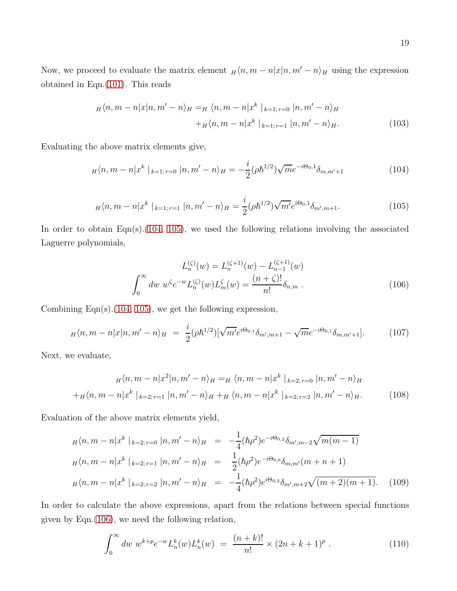Now, we proceed to evaluate the matrix element  $H\langle n, m - n|x|n, m' - n\rangle_H$  using the expression obtained in Eqn.[\(101\)](#page-17-0). This reads

$$
H\langle n, m-n|x|n, m'-n\rangle_{H} = H\langle n, m-n|x^{k}|_{k=1; r=0} |n, m'-n\rangle_{H}
$$
  
+
$$
H\langle n, m-n|x^{k}|_{k=1; r=1} |n, m'-n\rangle_{H}.
$$
 (103)

Evaluating the above matrix elements give,

<span id="page-18-0"></span>
$$
H\langle n,m-n|x^k \mid_{k=1; r=0} |n,m'-n\rangle_H = -\frac{i}{2}(\rho \hbar^{1/2})\sqrt{m}e^{-i\Theta_0,1}\delta_{m,m'+1}
$$
(104)

<span id="page-18-1"></span>
$$
H\langle n,m-n|x^k\mid_{k=1;r=1}|n,m'-n\rangle_H=\frac{i}{2}(\rho\hbar^{1/2})\sqrt{m'}e^{i\Theta_0,1}\delta_{m',m+1}.
$$
\n(105)

In order to obtain Eqn(s).[\(104,](#page-18-0) [105\)](#page-18-1), we used the following relations involving the associated Laguerre polynomials,

<span id="page-18-2"></span>
$$
L_n^{(\zeta)}(w) = L_n^{(\zeta+1)}(w) - L_{n-1}^{(\zeta+1)}(w)
$$

$$
\int_0^\infty dw \ w^\zeta e^{-w} L_n^{(\zeta)}(w) L_m^{\zeta}(w) = \frac{(n+\zeta)!}{n!} \delta_{n,m} .
$$
 (106)

Combining Eqn $(s)$ . [\(104,](#page-18-0) [105\)](#page-18-1), we get the following expression,

<span id="page-18-3"></span>
$$
H\langle n,m-n|x|n,m'-n\rangle_H = \frac{i}{2}(\rho\hbar^{1/2})[\sqrt{m'}e^{i\Theta_{0,1}}\delta_{m',m+1} - \sqrt{m}e^{-i\Theta_{0,1}}\delta_{m,m'+1}].
$$
 (107)

Next, we evaluate,

$$
H\langle n, m - n|x^{2}|n, m' - n\rangle_{H} = H \langle n, m - n|x^{k}|_{k=2; r=0} |n, m' - n\rangle_{H}
$$

$$
+ H\langle n, m - n|x^{k}|_{k=2; r=1} |n, m' - n\rangle_{H} + H \langle n, m - n|x^{k}|_{k=2; r=2} |n, m' - n\rangle_{H}.
$$
 (108)

Evaluation of the above matrix elements yield,

$$
H\langle n,m-n|x^{k} \mid_{k=2;\,r=0} |n,m'-n\rangle_{H} = -\frac{1}{4}(\hbar\rho^{2})e^{-i\Theta_{0,2}}\delta_{m',m-2}\sqrt{m(m-1)}
$$
  

$$
H\langle n,m-n|x^{k} \mid_{k=2;\,r=1} |n,m'-n\rangle_{H} = \frac{1}{2}(\hbar\rho^{2})e^{-i\Theta_{0,0}}\delta_{m,m'}(m+n+1)
$$
  

$$
H\langle n,m-n|x^{k} \mid_{k=2;\,r=2} |n,m'-n\rangle_{H} = -\frac{1}{4}(\hbar\rho^{2})e^{i\Theta_{0,2}}\delta_{m',m+2}\sqrt{(m+2)(m+1)}.
$$
 (109)

In order to calculate the above expressions, apart from the relations between special functions given by Eqn.[\(106\)](#page-18-2), we need the following relation,

$$
\int_0^\infty dw \; w^{k+p} e^{-w} L_n^k(w) L_n^k(w) \; = \; \frac{(n+k)!}{n!} \times (2n+k+1)^p \; . \tag{110}
$$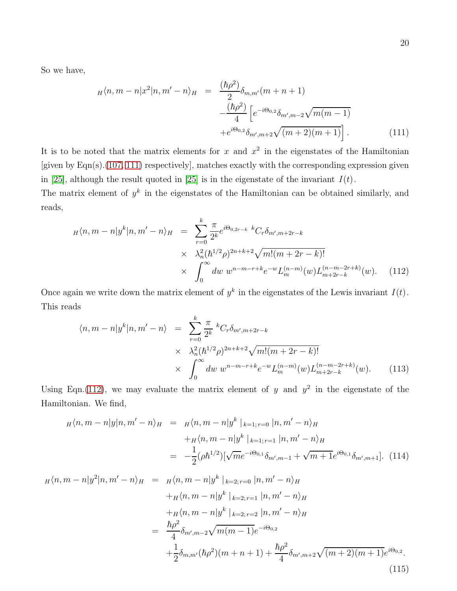So we have,

<span id="page-19-0"></span>
$$
H\langle n, m - n | x^2 | n, m' - n \rangle_H = \frac{(\hbar \rho^2)}{2} \delta_{m,m'}(m + n + 1) -\frac{(\hbar \rho^2)}{4} \left[ e^{-i\Theta_{0,2}} \delta_{m',m-2} \sqrt{m(m-1)} + e^{i\Theta_{0,2}} \delta_{m',m+2} \sqrt{(m+2)(m+1)} \right].
$$
 (111)

It is to be noted that the matrix elements for x and  $x^2$  in the eigenstates of the Hamiltonian [given by Eqn(s).[\(107,](#page-18-3) [111\)](#page-19-0) respectively], matches exactly with the corresponding expression given in [\[25\]](#page-26-8), although the result quoted in [25] is in the eigenstate of the invariant  $I(t)$ .

The matrix element of  $y^k$  in the eigenstates of the Hamiltonian can be obtained similarly, and reads,

<span id="page-19-1"></span>
$$
H\langle n, m-n|y^{k}|n, m'-n\rangle_{H} = \sum_{r=0}^{k} \frac{\pi}{2^{k}} e^{i\Theta_{0,2r-k} k} C_{r} \delta_{m',m+2r-k}
$$
  
 
$$
\times \lambda_{n}^{2} (\hbar^{1/2} \rho)^{2n+k+2} \sqrt{m!(m+2r-k)!}
$$
  
 
$$
\times \int_{0}^{\infty} dw \ w^{n-m-r+k} e^{-w} L_{m}^{(n-m)}(w) L_{m+2r-k}^{(n-m-2r+k)}(w).
$$
 (112)

Once again we write down the matrix element of  $y^k$  in the eigenstates of the Lewis invariant  $I(t)$ . This reads

$$
\langle n, m - n | y^{k} | n, m' - n \rangle = \sum_{r=0}^{k} \frac{\pi}{2^{k}} {}^{k}C_{r} \delta_{m', m+2r-k}
$$
  
 
$$
\times \lambda_{n}^{2} (h^{1/2} \rho)^{2n+k+2} \sqrt{m! (m + 2r - k)!}
$$
  
 
$$
\times \int_{0}^{\infty} dw \ w^{n-m-r+k} e^{-w} L_{m}^{(n-m)}(w) L_{m+2r-k}^{(n-m-2r+k)}(w).
$$
 (113)

Using Eqn.[\(112\)](#page-19-1), we may evaluate the matrix element of y and  $y^2$  in the eigenstate of the Hamiltonian. We find,

$$
H\langle n, m-n|y|n, m'-n\rangle_H = H\langle n, m-n|y^k|_{k=1; r=0} |n, m'-n\rangle_H
$$
  
+
$$
H\langle n, m-n|y^k|_{k=1; r=1} |n, m'-n\rangle_H
$$
  
= 
$$
-\frac{1}{2}(\rho \hbar^{1/2})[\sqrt{m}e^{-i\Theta_{0,1}}\delta_{m', m-1} + \sqrt{m+1}e^{i\Theta_{0,1}}\delta_{m', m+1}].
$$
 (114)

$$
H\langle n, m - n | y^2 | n, m' - n \rangle_H = H\langle n, m - n | y^k |_{k=2; r=0} | n, m' - n \rangle_H
$$
  
+
$$
H\langle n, m - n | y^k |_{k=2; r=1} | n, m' - n \rangle_H
$$
  
+
$$
H\langle n, m - n | y^k |_{k=2; r=2} | n, m' - n \rangle_H
$$
  
=
$$
\frac{\hbar \rho^2}{4} \delta_{m', m-2} \sqrt{m(m-1)} e^{-i\Theta_{0,2}}
$$
  
+
$$
\frac{1}{2} \delta_{m, m'} (\hbar \rho^2) (m + n + 1) + \frac{\hbar \rho^2}{4} \delta_{m', m+2} \sqrt{(m+2)(m+1)} e^{i\Theta_{0,2}}.
$$
  
(115)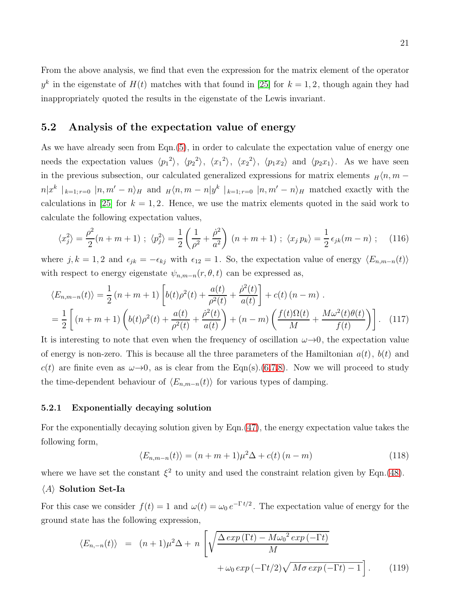From the above analysis, we find that even the expression for the matrix element of the operator  $y^k$  in the eigenstate of  $H(t)$  matches with that found in [\[25\]](#page-26-8) for  $k = 1, 2$ , though again they had inappropriately quoted the results in the eigenstate of the Lewis invariant.

#### 5.2 Analysis of the expectation value of energy

As we have already seen from Eqn.[\(5\)](#page-3-0), in order to calculate the expectation value of energy one needs the expectation values  $\langle p_1^2 \rangle$ ,  $\langle p_2^2 \rangle$ ,  $\langle x_1^2 \rangle$ ,  $\langle x_2^2 \rangle$ ,  $\langle p_1 x_2 \rangle$  and  $\langle p_2 x_1 \rangle$ . As we have seen in the previous subsection, our calculated generalized expressions for matrix elements  $H/n, m$  $n|x^k|_{k=1; r=0}$   $|n,m'-n\rangle_H$  and  $H\langle n,m-n|y^k|_{k=1; r=0}$   $|n,m'-n\rangle_H$  matched exactly with the calculations in [\[25\]](#page-26-8) for  $k = 1, 2$ . Hence, we use the matrix elements quoted in the said work to calculate the following expectation values,

$$
\langle x_j^2 \rangle = \frac{\rho^2}{2}(n+m+1) \; ; \; \langle p_j^2 \rangle = \frac{1}{2} \left( \frac{1}{\rho^2} + \frac{\dot{\rho}^2}{a^2} \right) (n+m+1) \; ; \; \langle x_j \, p_k \rangle = \frac{1}{2} \, \epsilon_{jk}(m-n) \; ; \quad (116)
$$

where j, k = 1, 2 and  $\epsilon_{jk} = -\epsilon_{kj}$  with  $\epsilon_{12} = 1$ . So, the expectation value of energy  $\langle E_{n,m-n}(t) \rangle$ with respect to energy eigenstate  $\psi_{n,m-n}(r,\theta,t)$  can be expressed as,

$$
\langle E_{n,m-n}(t) \rangle = \frac{1}{2} (n+m+1) \left[ b(t) \rho^2(t) + \frac{a(t)}{\rho^2(t)} + \frac{\dot{\rho}^2(t)}{a(t)} \right] + c(t) (n-m) .
$$
  
= 
$$
\frac{1}{2} \left[ (n+m+1) \left( b(t) \rho^2(t) + \frac{a(t)}{\rho^2(t)} + \frac{\dot{\rho}^2(t)}{a(t)} \right) + (n-m) \left( \frac{f(t) \Omega(t)}{M} + \frac{M \omega^2(t) \theta(t)}{f(t)} \right) \right].
$$
 (117)

It is interesting to note that even when the frequency of oscillation  $\omega \rightarrow 0$ , the expectation value of energy is non-zero. This is because all the three parameters of the Hamiltonian  $a(t)$ ,  $b(t)$  and c(t) are finite even as  $\omega \rightarrow 0$ , as is clear from the Eqn(s).[\(6,7,8\)](#page-3-1). Now we will proceed to study the time-dependent behaviour of  $\langle E_{n,m-n}(t) \rangle$  for various types of damping.

#### 5.2.1 Exponentially decaying solution

For the exponentially decaying solution given by Eqn.[\(47\)](#page-9-0), the energy expectation value takes the following form,

$$
\langle E_{n,m-n}(t) \rangle = (n+m+1)\mu^2 \Delta + c(t) (n-m) \tag{118}
$$

where we have set the constant  $\xi^2$  to unity and used the constraint relation given by Eqn.[\(48\)](#page-9-1).

#### $\langle A \rangle$  Solution Set-Ia

For this case we consider  $f(t) = 1$  and  $\omega(t) = \omega_0 e^{-\Gamma t/2}$ . The expectation value of energy for the ground state has the following expression,

<span id="page-20-0"></span>
$$
\langle E_{n,-n}(t) \rangle = (n+1)\mu^2 \Delta + n \left[ \sqrt{\frac{\Delta \exp(\Gamma t) - M \omega_0^2 \exp(-\Gamma t)}{M}} + \omega_0 \exp(-\Gamma t/2) \sqrt{M \sigma \exp(-\Gamma t) - 1} \right]. \tag{119}
$$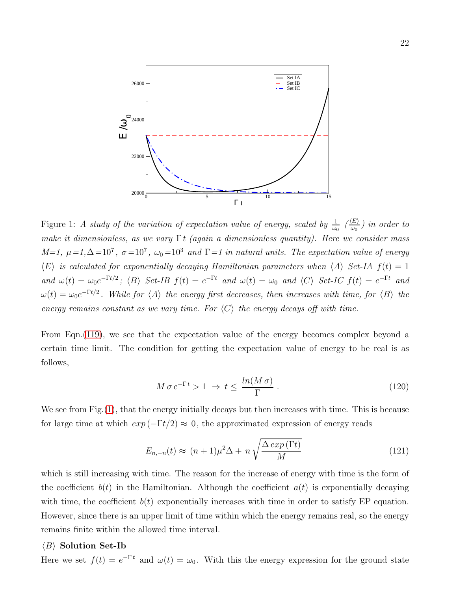

<span id="page-21-0"></span>Figure 1: A study of the variation of expectation value of energy, scaled by  $\frac{1}{\omega_0}$   $\frac{\langle E \rangle}{\omega_0}$  $\frac{dE}{d\omega_0}$ ) in order to make it dimensionless, as we vary  $\Gamma t$  (again a dimensionless quantity). Here we consider mass M=1,  $\mu = 1, \Delta = 10^7$ ,  $\sigma = 10^7$ ,  $\omega_0 = 10^3$  and  $\Gamma = 1$  in natural units. The expectation value of energy  $\langle E \rangle$  is calculated for exponentially decaying Hamiltonian parameters when  $\langle A \rangle$  Set-IA  $f(t) = 1$ and  $\omega(t) = \omega_0 e^{-\Gamma t/2}$ ;  $\langle B \rangle$  Set-IB  $f(t) = e^{-\Gamma t}$  and  $\omega(t) = \omega_0$  and  $\langle C \rangle$  Set-IC  $f(t) = e^{-\Gamma t}$  and  $\omega(t) = \omega_0 e^{-\Gamma t/2}$ . While for  $\langle A \rangle$  the energy first decreases, then increases with time, for  $\langle B \rangle$  the energy remains constant as we vary time. For  $\langle C \rangle$  the energy decays off with time.

From Eqn.[\(119\)](#page-20-0), we see that the expectation value of the energy becomes complex beyond a certain time limit. The condition for getting the expectation value of energy to be real is as follows,

$$
M \sigma e^{-\Gamma t} > 1 \Rightarrow t \le \frac{\ln(M \sigma)}{\Gamma} . \tag{120}
$$

We see from Fig. [\(1\)](#page-21-0), that the energy initially decays but then increases with time. This is because for large time at which  $exp(-\Gamma t/2) \approx 0$ , the approximated expression of energy reads

$$
E_{n,-n}(t) \approx (n+1)\mu^2 \Delta + n \sqrt{\frac{\Delta \exp(\Gamma t)}{M}}
$$
\n(121)

which is still increasing with time. The reason for the increase of energy with time is the form of the coefficient  $b(t)$  in the Hamiltonian. Although the coefficient  $a(t)$  is exponentially decaying with time, the coefficient  $b(t)$  exponentially increases with time in order to satisfy EP equation. However, since there is an upper limit of time within which the energy remains real, so the energy remains finite within the allowed time interval.

#### $\langle B \rangle$  Solution Set-Ib

Here we set  $f(t) = e^{-\Gamma t}$  and  $\omega(t) = \omega_0$ . With this the energy expression for the ground state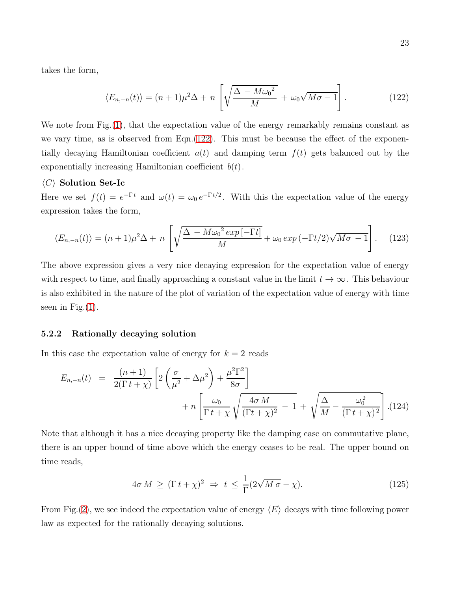takes the form,

<span id="page-22-0"></span>
$$
\langle E_{n,-n}(t) \rangle = (n+1)\mu^2 \Delta + n \left[ \sqrt{\frac{\Delta - M \omega_0^2}{M}} + \omega_0 \sqrt{M \sigma - 1} \right]. \tag{122}
$$

We note from Fig. [\(1\)](#page-21-0), that the expectation value of the energy remarkably remains constant as we vary time, as is observed from Eqn.[\(122\)](#page-22-0). This must be because the effect of the exponentially decaying Hamiltonian coefficient  $a(t)$  and damping term  $f(t)$  gets balanced out by the exponentially increasing Hamiltonian coefficient  $b(t)$ .

#### $\langle C \rangle$  Solution Set-Ic

Here we set  $f(t) = e^{-\Gamma t}$  and  $\omega(t) = \omega_0 e^{-\Gamma t/2}$ . With this the expectation value of the energy expression takes the form,

$$
\langle E_{n,-n}(t) \rangle = (n+1)\mu^2 \Delta + n \left[ \sqrt{\frac{\Delta - M \omega_0^2 \exp\left[-\Gamma t\right]}{M}} + \omega_0 \exp\left(-\Gamma t/2\right) \sqrt{M \sigma - 1} \right]. \tag{123}
$$

The above expression gives a very nice decaying expression for the expectation value of energy with respect to time, and finally approaching a constant value in the limit  $t \to \infty$ . This behaviour is also exhibited in the nature of the plot of variation of the expectation value of energy with time seen in Fig. $(1)$ .

#### 5.2.2 Rationally decaying solution

In this case the expectation value of energy for  $k = 2$  reads

$$
E_{n,-n}(t) = \frac{(n+1)}{2(\Gamma t + \chi)} \left[ 2\left(\frac{\sigma}{\mu^2} + \Delta \mu^2\right) + \frac{\mu^2 \Gamma^2}{8\sigma} \right] + n \left[ \frac{\omega_0}{\Gamma t + \chi} \sqrt{\frac{4\sigma M}{(\Gamma t + \chi)^2} - 1} + \sqrt{\frac{\Delta}{M} - \frac{\omega_0^2}{(\Gamma t + \chi)^2}} \right]. (124)
$$

Note that although it has a nice decaying property like the damping case on commutative plane, there is an upper bound of time above which the energy ceases to be real. The upper bound on time reads,

$$
4\sigma M \ge (\Gamma t + \chi)^2 \Rightarrow t \le \frac{1}{\Gamma} (2\sqrt{M\sigma} - \chi). \tag{125}
$$

From Fig. [\(2\)](#page-23-0), we see indeed the expectation value of energy  $\langle E \rangle$  decays with time following power law as expected for the rationally decaying solutions.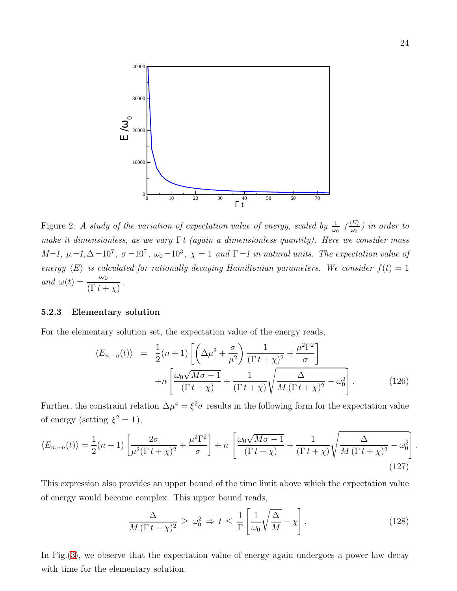

<span id="page-23-0"></span>Figure 2: A study of the variation of expectation value of energy, scaled by  $\frac{1}{\omega_0}$   $\frac{\langle E \rangle}{\omega_0}$  $\frac{dE}{d\omega_0}$ ) in order to make it dimensionless, as we vary  $\Gamma t$  (again a dimensionless quantity). Here we consider mass  $M=1, \mu=1, \Delta=10^7, \sigma=10^7, \omega_0=10^3, \chi=1$  and  $\Gamma=1$  in natural units. The expectation value of energy  $\langle E \rangle$  is calculated for rationally decaying Hamiltonian parameters. We consider  $f(t) = 1$ and  $\omega(t) = \frac{\omega_0}{\sqrt{D} + \omega_0}$  $(\Gamma t + \chi)$ .

#### 5.2.3 Elementary solution

For the elementary solution set, the expectation value of the energy reads,

$$
\langle E_{n,-n}(t) \rangle = \frac{1}{2}(n+1) \left[ \left( \Delta \mu^2 + \frac{\sigma}{\mu^2} \right) \frac{1}{(\Gamma t + \chi)^2} + \frac{\mu^2 \Gamma^2}{\sigma} \right] + n \left[ \frac{\omega_0 \sqrt{M \sigma - 1}}{(\Gamma t + \chi)} + \frac{1}{(\Gamma t + \chi)} \sqrt{\frac{\Delta}{M (\Gamma t + \chi)^2} - \omega_0^2} \right].
$$
 (126)

Further, the constraint relation  $\Delta \mu^4 = \xi^2 \sigma$  results in the following form for the expectation value of energy (setting  $\xi^2 = 1$ ),

$$
\langle E_{n,-n}(t) \rangle = \frac{1}{2}(n+1)\left[\frac{2\sigma}{\mu^2(\Gamma t + \chi)^2} + \frac{\mu^2 \Gamma^2}{\sigma}\right] + n\left[\frac{\omega_0 \sqrt{M\sigma - 1}}{(\Gamma t + \chi)} + \frac{1}{(\Gamma t + \chi)}\sqrt{\frac{\Delta}{M(\Gamma t + \chi)^2} - \omega_0^2}\right]
$$
\n(127)

This expression also provides an upper bound of the time limit above which the expectation value of energy would become complex. This upper bound reads,

$$
\frac{\Delta}{M(\Gamma t + \chi)^2} \ge \omega_0^2 \Rightarrow t \le \frac{1}{\Gamma} \left[ \frac{1}{\omega_0} \sqrt{\frac{\Delta}{M}} - \chi \right].
$$
\n(128)

In Fig.[\(3\)](#page-24-0), we observe that the expectation value of energy again undergoes a power law decay with time for the elementary solution.

.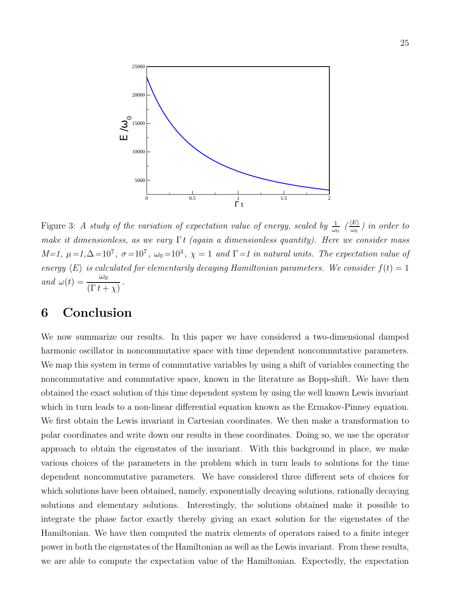

<span id="page-24-0"></span>Figure 3: A study of the variation of expectation value of energy, scaled by  $\frac{1}{\omega_0}$   $\frac{\langle E \rangle}{\omega_0}$  $\frac{dE}{d\omega_0}$ ) in order to make it dimensionless, as we vary  $\Gamma t$  (again a dimensionless quantity). Here we consider mass  $M=1, \mu=1, \Delta=10^7, \sigma=10^7, \omega_0=10^3, \chi=1$  and  $\Gamma=1$  in natural units. The expectation value of energy  $\langle E \rangle$  is calculated for elementarily decaying Hamiltonian parameters. We consider  $f(t) = 1$ and  $\omega(t) = \frac{\omega_0}{\sqrt{D} + \omega_0}$  $(\Gamma t + \chi)$ .

# 6 Conclusion

We now summarize our results. In this paper we have considered a two-dimensional damped harmonic oscillator in noncommutative space with time dependent noncommutative parameters. We map this system in terms of commutative variables by using a shift of variables connecting the noncommutative and commutative space, known in the literature as Bopp-shift. We have then obtained the exact solution of this time dependent system by using the well known Lewis invariant which in turn leads to a non-linear differential equation known as the Ermakov-Pinney equation. We first obtain the Lewis invariant in Cartesian coordinates. We then make a transformation to polar coordinates and write down our results in these coordinates. Doing so, we use the operator approach to obtain the eigenstates of the invariant. With this background in place, we make various choices of the parameters in the problem which in turn leads to solutions for the time dependent noncommutative parameters. We have considered three different sets of choices for which solutions have been obtained, namely, exponentially decaying solutions, rationally decaying solutions and elementary solutions. Interestingly, the solutions obtained make it possible to integrate the phase factor exactly thereby giving an exact solution for the eigenstates of the Hamiltonian. We have then computed the matrix elements of operators raised to a finite integer power in both the eigenstates of the Hamiltonian as well as the Lewis invariant. From these results, we are able to compute the expectation value of the Hamiltonian. Expectedly, the expectation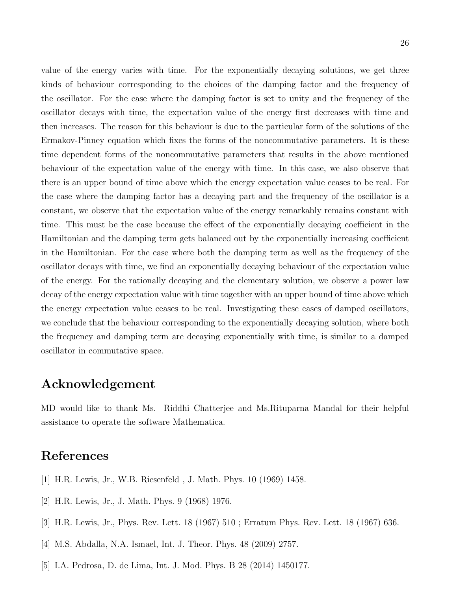value of the energy varies with time. For the exponentially decaying solutions, we get three kinds of behaviour corresponding to the choices of the damping factor and the frequency of the oscillator. For the case where the damping factor is set to unity and the frequency of the oscillator decays with time, the expectation value of the energy first decreases with time and then increases. The reason for this behaviour is due to the particular form of the solutions of the Ermakov-Pinney equation which fixes the forms of the noncommutative parameters. It is these time dependent forms of the noncommutative parameters that results in the above mentioned behaviour of the expectation value of the energy with time. In this case, we also observe that there is an upper bound of time above which the energy expectation value ceases to be real. For the case where the damping factor has a decaying part and the frequency of the oscillator is a constant, we observe that the expectation value of the energy remarkably remains constant with time. This must be the case because the effect of the exponentially decaying coefficient in the Hamiltonian and the damping term gets balanced out by the exponentially increasing coefficient in the Hamiltonian. For the case where both the damping term as well as the frequency of the oscillator decays with time, we find an exponentially decaying behaviour of the expectation value of the energy. For the rationally decaying and the elementary solution, we observe a power law decay of the energy expectation value with time together with an upper bound of time above which the energy expectation value ceases to be real. Investigating these cases of damped oscillators, we conclude that the behaviour corresponding to the exponentially decaying solution, where both the frequency and damping term are decaying exponentially with time, is similar to a damped oscillator in commutative space.

# Acknowledgement

MD would like to thank Ms. Riddhi Chatterjee and Ms.Rituparna Mandal for their helpful assistance to operate the software Mathematica.

# <span id="page-25-0"></span>References

- <span id="page-25-1"></span>[1] H.R. Lewis, Jr., W.B. Riesenfeld , J. Math. Phys. 10 (1969) 1458.
- <span id="page-25-2"></span>[2] H.R. Lewis, Jr., J. Math. Phys. 9 (1968) 1976.
- <span id="page-25-3"></span>[3] H.R. Lewis, Jr., Phys. Rev. Lett. 18 (1967) 510 ; Erratum Phys. Rev. Lett. 18 (1967) 636.
- [4] M.S. Abdalla, N.A. Ismael, Int. J. Theor. Phys. 48 (2009) 2757.
- [5] I.A. Pedrosa, D. de Lima, Int. J. Mod. Phys. B 28 (2014) 1450177.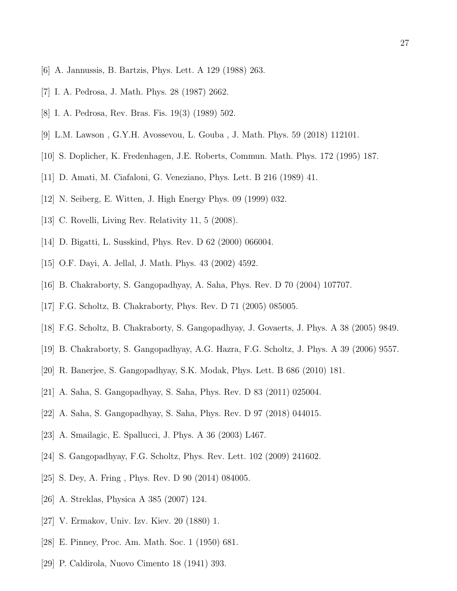- [6] A. Jannussis, B. Bartzis, Phys. Lett. A 129 (1988) 263.
- <span id="page-26-0"></span>[7] I. A. Pedrosa, J. Math. Phys. 28 (1987) 2662.
- <span id="page-26-1"></span>[8] I. A. Pedrosa, Rev. Bras. Fis. 19(3) (1989) 502.
- <span id="page-26-2"></span>[9] L.M. Lawson , G.Y.H. Avossevou, L. Gouba , J. Math. Phys. 59 (2018) 112101.
- <span id="page-26-3"></span>[10] S. Doplicher, K. Fredenhagen, J.E. Roberts, Commun. Math. Phys. 172 (1995) 187.
- <span id="page-26-4"></span>[11] D. Amati, M. Ciafaloni, G. Veneziano, Phys. Lett. B 216 (1989) 41.
- <span id="page-26-5"></span>[12] N. Seiberg, E. Witten, J. High Energy Phys. 09 (1999) 032.
- <span id="page-26-6"></span>[13] C. Rovelli, Living Rev. Relativity 11, 5 (2008).
- [14] D. Bigatti, L. Susskind, Phys. Rev. D 62 (2000) 066004.
- [15] O.F. Dayi, A. Jellal, J. Math. Phys. 43 (2002) 4592.
- [16] B. Chakraborty, S. Gangopadhyay, A. Saha, Phys. Rev. D 70 (2004) 107707.
- [17] F.G. Scholtz, B. Chakraborty, Phys. Rev. D 71 (2005) 085005.
- [18] F.G. Scholtz, B. Chakraborty, S. Gangopadhyay, J. Govaerts, J. Phys. A 38 (2005) 9849.
- [19] B. Chakraborty, S. Gangopadhyay, A.G. Hazra, F.G. Scholtz, J. Phys. A 39 (2006) 9557.
- [20] R. Banerjee, S. Gangopadhyay, S.K. Modak, Phys. Lett. B 686 (2010) 181.
- [21] A. Saha, S. Gangopadhyay, S. Saha, Phys. Rev. D 83 (2011) 025004.
- [22] A. Saha, S. Gangopadhyay, S. Saha, Phys. Rev. D 97 (2018) 044015.
- <span id="page-26-7"></span>[23] A. Smailagic, E. Spallucci, J. Phys. A 36 (2003) L467.
- <span id="page-26-8"></span>[24] S. Gangopadhyay, F.G. Scholtz, Phys. Rev. Lett. 102 (2009) 241602.
- <span id="page-26-9"></span>[25] S. Dey, A. Fring , Phys. Rev. D 90 (2014) 084005.
- <span id="page-26-10"></span>[26] A. Streklas, Physica A 385 (2007) 124.
- <span id="page-26-11"></span>[27] V. Ermakov, Univ. Izv. Kiev. 20 (1880) 1.
- <span id="page-26-12"></span>[28] E. Pinney, Proc. Am. Math. Soc. 1 (1950) 681.
- [29] P. Caldirola, Nuovo Cimento 18 (1941) 393.